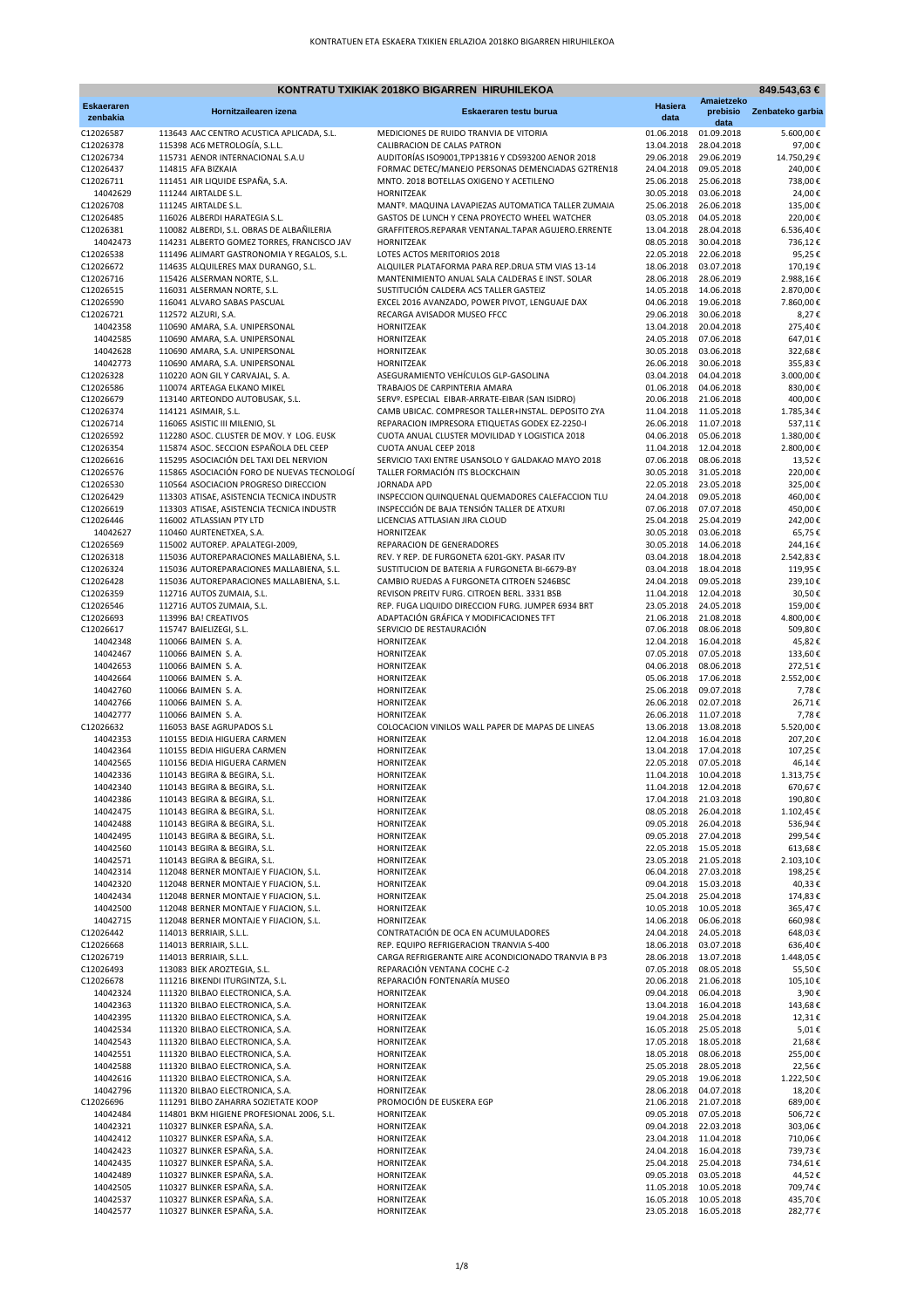|                        |                                                                                        | KONTRATU TXIKIAK 2018KO BIGARREN HIRUHILEKOA                                                          |                                                |                                     | 849.543,63 €         |
|------------------------|----------------------------------------------------------------------------------------|-------------------------------------------------------------------------------------------------------|------------------------------------------------|-------------------------------------|----------------------|
| <b>Eskaeraren</b>      | Hornitzailearen izena                                                                  | Eskaeraren testu burua                                                                                | <b>Hasiera</b>                                 | Amaietzeko<br>prebisio              | Zenbateko garbia     |
| zenbakia               |                                                                                        |                                                                                                       | data                                           | data                                |                      |
| C12026587              | 113643 AAC CENTRO ACUSTICA APLICADA, S.L.                                              | MEDICIONES DE RUIDO TRANVIA DE VITORIA                                                                | 01.06.2018                                     | 01.09.2018                          | 5.600,00€            |
| C12026378<br>C12026734 | 115398 AC6 METROLOGÍA, S.L.L.<br>115731 AENOR INTERNACIONAL S.A.U                      | CALIBRACION DE CALAS PATRON<br>AUDITORÍAS ISO9001, TPP13816 Y CDS93200 AENOR 2018                     | 13.04.2018<br>29.06.2018                       | 28.04.2018<br>29.06.2019            | 97,00€<br>14.750,29€ |
| C12026437              | 114815 AFA BIZKAIA                                                                     | FORMAC DETEC/MANEJO PERSONAS DEMENCIADAS G2TREN18                                                     | 24.04.2018                                     | 09.05.2018                          | 240,00€              |
| C12026711              | 111451 AIR LIQUIDE ESPAÑA, S.A.                                                        | MNTO. 2018 BOTELLAS OXIGENO Y ACETILENO                                                               | 25.06.2018 25.06.2018                          |                                     | 738,00€              |
| 14042629               | 111244 AIRTALDE S.L.                                                                   | HORNITZEAK                                                                                            | 30.05.2018                                     | 03.06.2018                          | 24,00€               |
| C12026708              | 111245 AIRTALDE S.L.                                                                   | MANTº. MAQUINA LAVAPIEZAS AUTOMATICA TALLER ZUMAIA                                                    | 25.06.2018                                     | 26.06.2018                          | 135,00€              |
| C12026485<br>C12026381 | 116026 ALBERDI HARATEGIA S.L.<br>110082 ALBERDI, S.L. OBRAS DE ALBAÑILERIA             | GASTOS DE LUNCH Y CENA PROYECTO WHEEL WATCHER<br>GRAFFITEROS.REPARAR VENTANAL.TAPAR AGUJERO.ERRENTE   | 03.05.2018<br>13.04.2018                       | 04.05.2018<br>28.04.2018            | 220,00€<br>6.536,40€ |
| 14042473               | 114231 ALBERTO GOMEZ TORRES, FRANCISCO JAV                                             | HORNITZEAK                                                                                            | 08.05.2018 30.04.2018                          |                                     | 736,12€              |
| C12026538              | 111496 ALIMART GASTRONOMIA Y REGALOS, S.L.                                             | LOTES ACTOS MERITORIOS 2018                                                                           | 22.05.2018 22.06.2018                          |                                     | 95,25€               |
| C12026672              | 114635 ALQUILERES MAX DURANGO, S.L.                                                    | ALQUILER PLATAFORMA PARA REP.DRUA 5TM VIAS 13-14                                                      | 18.06.2018                                     | 03.07.2018                          | 170,19€              |
| C12026716              | 115426 ALSERMAN NORTE, S.L.                                                            | MANTENIMIENTO ANUAL SALA CALDERAS E INST. SOLAR                                                       | 28.06.2018                                     | 28.06.2019                          | 2.988,16€            |
| C12026515              | 116031 ALSERMAN NORTE, S.L.                                                            | SUSTITUCIÓN CALDERA ACS TALLER GASTEIZ                                                                |                                                | 14.05.2018 14.06.2018               | 2.870,00€            |
| C12026590<br>C12026721 | 116041 ALVARO SABAS PASCUAL<br>112572 ALZURI, S.A.                                     | EXCEL 2016 AVANZADO, POWER PIVOT, LENGUAJE DAX<br>RECARGA AVISADOR MUSEO FFCC                         | 04.06.2018 19.06.2018<br>29.06.2018 30.06.2018 |                                     | 7.860,00€<br>8,27€   |
| 14042358               | 110690 AMARA, S.A. UNIPERSONAL                                                         | HORNITZEAK                                                                                            | 13.04.2018                                     | 20.04.2018                          | 275,40€              |
| 14042585               | 110690 AMARA, S.A. UNIPERSONAL                                                         | HORNITZEAK                                                                                            | 24.05.2018 07.06.2018                          |                                     | 647,01€              |
| 14042628               | 110690 AMARA, S.A. UNIPERSONAL                                                         | HORNITZEAK                                                                                            | 30.05.2018 03.06.2018                          |                                     | 322,68€              |
| 14042773               | 110690 AMARA, S.A. UNIPERSONAL                                                         | HORNITZEAK                                                                                            | 26.06.2018 30.06.2018                          |                                     | 355,83€              |
| C12026328              | 110220 AON GIL Y CARVAJAL, S. A.                                                       | ASEGURAMIENTO VEHÍCULOS GLP-GASOLINA                                                                  | 03.04.2018  04.04.2018                         |                                     | 3.000,00€            |
| C12026586              | 110074 ARTEAGA ELKANO MIKEL                                                            | TRABAJOS DE CARPINTERIA AMARA                                                                         | 01.06.2018                                     | 04.06.2018                          | 830,00€              |
| C12026679<br>C12026374 | 113140 ARTEONDO AUTOBUSAK, S.L.<br>114121 ASIMAIR, S.L.                                | SERVº. ESPECIAL EIBAR-ARRATE-EIBAR (SAN ISIDRO)<br>CAMB UBICAC. COMPRESOR TALLER+INSTAL. DEPOSITO ZYA | 20.06.2018<br>11.04.2018 11.05.2018            | 21.06.2018                          | 400,00€<br>1.785,34€ |
| C12026714              | 116065 ASISTIC III MILENIO, SL                                                         | REPARACION IMPRESORA ETIQUETAS GODEX EZ-2250-I                                                        |                                                | 26.06.2018 11.07.2018               | 537,11€              |
| C12026592              | 112280 ASOC. CLUSTER DE MOV. Y LOG. EUSK                                               | CUOTA ANUAL CLUSTER MOVILIDAD Y LOGISTICA 2018                                                        | 04.06.2018  05.06.2018                         |                                     | 1.380,00€            |
| C12026354              | 115874 ASOC. SECCION ESPAÑOLA DEL CEEP                                                 | CUOTA ANUAL CEEP 2018                                                                                 |                                                | 11.04.2018 12.04.2018               | 2.800,00€            |
| C12026616              | 115295 ASOCIACIÓN DEL TAXI DEL NERVION                                                 | SERVICIO TAXI ENTRE USANSOLO Y GALDAKAO MAYO 2018                                                     |                                                | 07.06.2018 08.06.2018               | 13,52€               |
| C12026576              | 115865 ASOCIACIÓN FORO DE NUEVAS TECNOLOGÍ                                             | TALLER FORMACIÓN ITS BLOCKCHAIN                                                                       | 30.05.2018 31.05.2018                          |                                     | 220,00€              |
| C12026530              | 110564 ASOCIACION PROGRESO DIRECCION                                                   | <b>JORNADA APD</b>                                                                                    |                                                | 22.05.2018 23.05.2018               | 325,00€              |
| C12026429<br>C12026619 | 113303 ATISAE, ASISTENCIA TECNICA INDUSTR<br>113303 ATISAE, ASISTENCIA TECNICA INDUSTR | INSPECCION QUINQUENAL QUEMADORES CALEFACCION TLU<br>INSPECCIÓN DE BAJA TENSIÓN TALLER DE ATXURI       | 24.04.2018 09.05.2018<br>07.06.2018 07.07.2018 |                                     | 460,00€<br>450,00€   |
| C12026446              | 116002 ATLASSIAN PTY LTD                                                               | LICENCIAS ATTLASIAN JIRA CLOUD                                                                        | 25.04.2018                                     | 25.04.2019                          | 242,00€              |
| 14042627               | 110460 AURTENETXEA, S.A.                                                               | HORNITZEAK                                                                                            |                                                | 30.05.2018 03.06.2018               | 65,75€               |
| C12026569              | 115002 AUTOREP. APALATEGI-2009,                                                        | REPARACION DE GENERADORES                                                                             | 30.05.2018 14.06.2018                          |                                     | 244,16€              |
| C12026318              | 115036 AUTOREPARACIONES MALLABIENA, S.L.                                               | REV. Y REP. DE FURGONETA 6201-GKY. PASAR ITV                                                          | 03.04.2018 18.04.2018                          |                                     | 2.542,83€            |
| C12026324              | 115036 AUTOREPARACIONES MALLABIENA, S.L.                                               | SUSTITUCION DE BATERIA A FURGONETA BI-6679-BY                                                         | 03.04.2018 18.04.2018                          |                                     | 119,95€              |
| C12026428<br>C12026359 | 115036 AUTOREPARACIONES MALLABIENA, S.L.                                               | CAMBIO RUEDAS A FURGONETA CITROEN 5246BSC<br>REVISON PREITV FURG. CITROEN BERL. 3331 BSB              | 11.04.2018 12.04.2018                          | 24.04.2018 09.05.2018               | 239,10€              |
| C12026546              | 112716 AUTOS ZUMAIA, S.L.<br>112716 AUTOS ZUMAIA, S.L.                                 | REP. FUGA LIQUIDO DIRECCION FURG. JUMPER 6934 BRT                                                     | 23.05.2018 24.05.2018                          |                                     | 30,50€<br>159,00€    |
| C12026693              | 113996 BA! CREATIVOS                                                                   | ADAPTACIÓN GRÁFICA Y MODIFICACIONES TFT                                                               | 21.06.2018 21.08.2018                          |                                     | 4.800,00€            |
| C12026617              | 115747 BAIELIZEGI, S.L.                                                                | SERVICIO DE RESTAURACIÓN                                                                              | 07.06.2018                                     | 08.06.2018                          | 509,80€              |
| 14042348               | 110066 BAIMEN S.A.                                                                     | HORNITZEAK                                                                                            | 12.04.2018                                     | 16.04.2018                          | 45,82€               |
| 14042467               | 110066 BAIMEN S.A.                                                                     | HORNITZEAK                                                                                            | 07.05.2018 07.05.2018                          |                                     | 133,60€              |
| 14042653               | 110066 BAIMEN S.A.                                                                     | HORNITZEAK                                                                                            | 04.06.2018 08.06.2018                          |                                     | 272,51€              |
| 14042664<br>14042760   | 110066 BAIMEN S.A.<br>110066 BAIMEN S.A.                                               | HORNITZEAK<br>HORNITZEAK                                                                              | 05.06.2018 17.06.2018<br>25.06.2018            | 09.07.2018                          | 2.552,00€<br>7,78€   |
| 14042766               | 110066 BAIMEN S.A.                                                                     | HORNITZEAK                                                                                            | 26.06.2018 02.07.2018                          |                                     | 26,71€               |
| 14042777               | 110066 BAIMEN S.A.                                                                     | HORNITZEAK                                                                                            | 26.06.2018 11.07.2018                          |                                     | 7,78€                |
| C12026632              | 116053 BASE AGRUPADOS S.L                                                              | COLOCACION VINILOS WALL PAPER DE MAPAS DE LINEAS                                                      | 13.06.2018 13.08.2018                          |                                     | 5.520,00€            |
| 14042353               | 110155 BEDIA HIGUERA CARMEN                                                            | HORNITZEAK                                                                                            | 12.04.2018 16.04.2018                          |                                     | 207,20€              |
| 14042364               | 110155 BEDIA HIGUERA CARMEN                                                            | HORNITZEAK                                                                                            |                                                | 13.04.2018 17.04.2018               | 107,25€              |
| 14042565<br>14042336   | 110156 BEDIA HIGUERA CARMEN<br>110143 BEGIRA & BEGIRA, S.L.                            | HORNITZEAK<br>HORNITZEAK                                                                              | 22.05.2018 07.05.2018<br>11.04.2018 10.04.2018 |                                     | 46,14€<br>1.313,75€  |
| 14042340               | 110143 BEGIRA & BEGIRA, S.L.                                                           | HORNITZEAK                                                                                            | 11.04.2018 12.04.2018                          |                                     | 670,67€              |
| 14042386               | 110143 BEGIRA & BEGIRA, S.L.                                                           | HORNITZEAK                                                                                            | 17.04.2018                                     | 21.03.2018                          | 190,80€              |
| 14042475               | 110143 BEGIRA & BEGIRA, S.L.                                                           | HORNITZEAK                                                                                            | 08.05.2018                                     | 26.04.2018                          | 1.102,45€            |
| 14042488               | 110143 BEGIRA & BEGIRA, S.L.                                                           | HORNITZEAK                                                                                            | 09.05.2018                                     | 26.04.2018                          | 536,94€              |
| 14042495               | 110143 BEGIRA & BEGIRA, S.L.                                                           | HORNITZEAK                                                                                            | 09.05.2018 27.04.2018                          |                                     | 299,54€              |
| 14042560<br>14042571   | 110143 BEGIRA & BEGIRA, S.L.<br>110143 BEGIRA & BEGIRA, S.L.                           | HORNITZEAK<br>HORNITZEAK                                                                              | 22.05.2018 15.05.2018<br>23.05.2018 21.05.2018 |                                     | 613,68€<br>2.103,10€ |
| 14042314               | 112048 BERNER MONTAJE Y FIJACION, S.L.                                                 | HORNITZEAK                                                                                            | 06.04.2018 27.03.2018                          |                                     | 198,25€              |
| 14042320               | 112048 BERNER MONTAJE Y FIJACION, S.L.                                                 | HORNITZEAK                                                                                            | 09.04.2018                                     | 15.03.2018                          | 40,33€               |
| 14042434               | 112048 BERNER MONTAJE Y FIJACION, S.L.                                                 | HORNITZEAK                                                                                            | 25.04.2018 25.04.2018                          |                                     | 174,83€              |
| 14042500               | 112048 BERNER MONTAJE Y FIJACION, S.L.                                                 | HORNITZEAK                                                                                            | 10.05.2018                                     | 10.05.2018                          | 365,47€              |
| 14042715               | 112048 BERNER MONTAJE Y FIJACION, S.L.                                                 | HORNITZEAK                                                                                            | 14.06.2018                                     | 06.06.2018                          | 660,98€              |
| C12026442              | 114013 BERRIAIR, S.L.L.                                                                | CONTRATACIÓN DE OCA EN ACUMULADORES                                                                   | 24.04.2018<br>18.06.2018                       | 24.05.2018                          | 648,03€              |
| C12026668<br>C12026719 | 114013 BERRIAIR, S.L.L.<br>114013 BERRIAIR, S.L.L.                                     | REP. EQUIPO REFRIGERACION TRANVIA S-400<br>CARGA REFRIGERANTE AIRE ACONDICIONADO TRANVIA B P3         |                                                | 03.07.2018<br>28.06.2018 13.07.2018 | 636,40€<br>1.448,05€ |
| C12026493              | 113083 BIEK AROZTEGIA, S.L.                                                            | REPARACIÓN VENTANA COCHE C-2                                                                          | 07.05.2018                                     | 08.05.2018                          | 55,50€               |
| C12026678              | 111216 BIKENDI ITURGINTZA, S.L.                                                        | REPARACIÓN FONTENARÍA MUSEO                                                                           | 20.06.2018                                     | 21.06.2018                          | 105,10€              |
| 14042324               | 111320 BILBAO ELECTRONICA, S.A.                                                        | HORNITZEAK                                                                                            | 09.04.2018                                     | 06.04.2018                          | 3,90€                |
| 14042363               | 111320 BILBAO ELECTRONICA, S.A.                                                        | HORNITZEAK                                                                                            | 13.04.2018                                     | 16.04.2018                          | 143,68€              |
| 14042395               | 111320 BILBAO ELECTRONICA, S.A.                                                        | HORNITZEAK                                                                                            | 19.04.2018 25.04.2018                          |                                     | 12,31€               |
| 14042534               | 111320 BILBAO ELECTRONICA, S.A.                                                        | HORNITZEAK                                                                                            | 16.05.2018                                     | 25.05.2018                          | 5,01€                |
| 14042543<br>14042551   | 111320 BILBAO ELECTRONICA, S.A.<br>111320 BILBAO ELECTRONICA, S.A.                     | HORNITZEAK<br>HORNITZEAK                                                                              | 17.05.2018<br>18.05.2018                       | 18.05.2018<br>08.06.2018            | 21,68€<br>255,00€    |
| 14042588               | 111320 BILBAO ELECTRONICA, S.A.                                                        | HORNITZEAK                                                                                            | 25.05.2018                                     | 28.05.2018                          | 22,56€               |
| 14042616               | 111320 BILBAO ELECTRONICA, S.A.                                                        | HORNITZEAK                                                                                            | 29.05.2018                                     | 19.06.2018                          | 1.222,50€            |
| 14042796               | 111320 BILBAO ELECTRONICA, S.A.                                                        | HORNITZEAK                                                                                            | 28.06.2018                                     | 04.07.2018                          | 18,20€               |
| C12026696              | 111291 BILBO ZAHARRA SOZIETATE KOOP                                                    | PROMOCIÓN DE EUSKERA EGP                                                                              | 21.06.2018 21.07.2018                          |                                     | 689,00€              |
| 14042484               | 114801 BKM HIGIENE PROFESIONAL 2006, S.L.                                              | HORNITZEAK                                                                                            | 09.05.2018                                     | 07.05.2018                          | 506,72€              |
| 14042321               | 110327 BLINKER ESPAÑA, S.A.<br>110327 BLINKER ESPAÑA, S.A.                             | HORNITZEAK                                                                                            | 09.04.2018<br>23.04.2018 11.04.2018            | 22.03.2018                          | 303,06€              |
| 14042412<br>14042423   | 110327 BLINKER ESPAÑA, S.A.                                                            | HORNITZEAK<br>HORNITZEAK                                                                              | 24.04.2018 16.04.2018                          |                                     | 710,06€<br>739,73€   |
| 14042435               | 110327 BLINKER ESPAÑA, S.A.                                                            | HORNITZEAK                                                                                            | 25.04.2018 25.04.2018                          |                                     | 734,61€              |
| 14042489               | 110327 BLINKER ESPAÑA, S.A.                                                            | HORNITZEAK                                                                                            | 09.05.2018                                     | 03.05.2018                          | 44,52€               |
| 14042505               | 110327 BLINKER ESPAÑA, S.A.                                                            | HORNITZEAK                                                                                            |                                                | 11.05.2018 10.05.2018               | 709,74€              |
| 14042537               | 110327 BLINKER ESPAÑA, S.A.                                                            | HORNITZEAK                                                                                            | 16.05.2018 10.05.2018                          |                                     | 435,70€              |
| 14042577               | 110327 BLINKER ESPAÑA, S.A.                                                            | HORNITZEAK                                                                                            | 23.05.2018 16.05.2018                          |                                     | 282,77€              |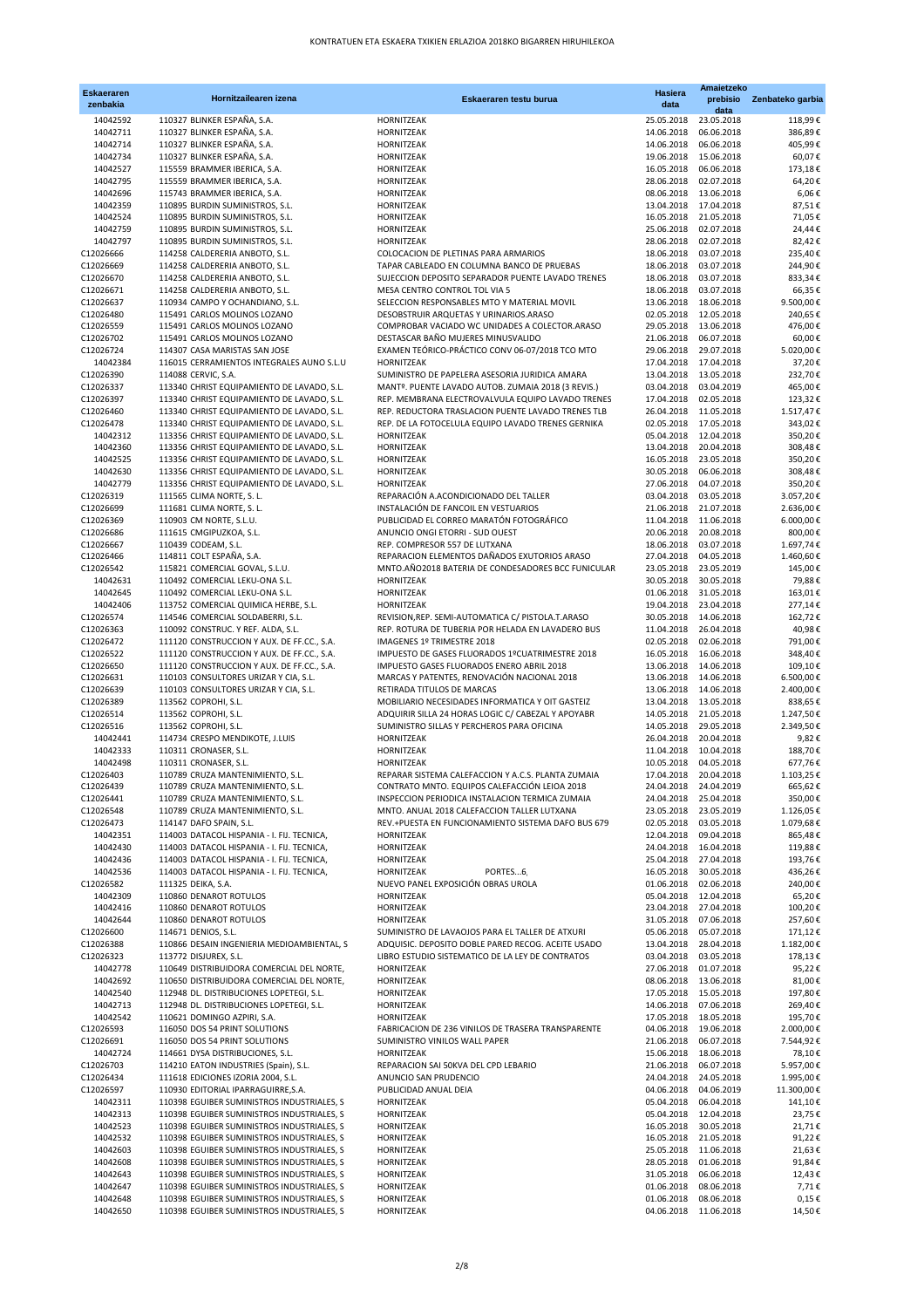| <b>Eskaeraren</b><br>zenbakia | Hornitzailearen izena                                                                    | Eskaeraren testu burua                                                                                   | Hasiera<br>data          | Amaietzeko<br>prebisio<br>data                 | Zenbateko garbia       |
|-------------------------------|------------------------------------------------------------------------------------------|----------------------------------------------------------------------------------------------------------|--------------------------|------------------------------------------------|------------------------|
| 14042592                      | 110327 BLINKER ESPAÑA, S.A.                                                              | HORNITZEAK                                                                                               | 25.05.2018               | 23.05.2018                                     | 118,99€                |
| 14042711                      | 110327 BLINKER ESPAÑA, S.A.                                                              | <b>HORNITZEAK</b>                                                                                        | 14.06.2018               | 06.06.2018                                     | 386,89€                |
| 14042714                      | 110327 BLINKER ESPAÑA, S.A.                                                              | HORNITZEAK                                                                                               | 14.06.2018               | 06.06.2018                                     | 405,99€                |
| 14042734                      | 110327 BLINKER ESPAÑA, S.A.                                                              | HORNITZEAK                                                                                               | 19.06.2018               | 15.06.2018                                     | 60,07€                 |
| 14042527<br>14042795          | 115559 BRAMMER IBERICA, S.A.<br>115559 BRAMMER IBERICA, S.A.                             | HORNITZEAK<br>HORNITZEAK                                                                                 | 16.05.2018<br>28.06.2018 | 06.06.2018<br>02.07.2018                       | 173,18€<br>64,20€      |
| 14042696                      | 115743 BRAMMER IBERICA, S.A.                                                             | HORNITZEAK                                                                                               |                          | 08.06.2018 13.06.2018                          | 6,06€                  |
| 14042359                      | 110895 BURDIN SUMINISTROS, S.L.                                                          | HORNITZEAK                                                                                               |                          | 13.04.2018 17.04.2018                          | 87,51€                 |
| 14042524                      | 110895 BURDIN SUMINISTROS, S.L.                                                          | HORNITZEAK                                                                                               |                          | 16.05.2018 21.05.2018                          | 71,05€                 |
| 14042759                      | 110895 BURDIN SUMINISTROS, S.L.                                                          | HORNITZEAK                                                                                               |                          | 25.06.2018 02.07.2018                          | 24,44€                 |
| 14042797                      | 110895 BURDIN SUMINISTROS, S.L.                                                          | HORNITZEAK                                                                                               | 28.06.2018               | 02.07.2018                                     | 82,42€                 |
| C12026666                     | 114258 CALDERERIA ANBOTO, S.L.                                                           | COLOCACION DE PLETINAS PARA ARMARIOS                                                                     | 18.06.2018               | 03.07.2018                                     | 235,40€                |
| C12026669                     | 114258 CALDERERIA ANBOTO, S.L.                                                           | TAPAR CABLEADO EN COLUMNA BANCO DE PRUEBAS                                                               |                          | 18.06.2018 03.07.2018                          | 244,90€                |
| C12026670                     | 114258 CALDERERIA ANBOTO, S.L.                                                           | SUJECCION DEPOSITO SEPARADOR PUENTE LAVADO TRENES                                                        | 18.06.2018               | 03.07.2018                                     | 833,34€                |
| C12026671<br>C12026637        | 114258 CALDERERIA ANBOTO, S.L.<br>110934 CAMPO Y OCHANDIANO, S.L.                        | MESA CENTRO CONTROL TOL VIA 5<br>SELECCION RESPONSABLES MTO Y MATERIAL MOVIL                             | 18.06.2018               | 03.07.2018<br>13.06.2018 18.06.2018            | 66,35€<br>9.500,00€    |
| C12026480                     | 115491 CARLOS MOLINOS LOZANO                                                             | DESOBSTRUIR ARQUETAS Y URINARIOS.ARASO                                                                   |                          | 02.05.2018 12.05.2018                          | 240,65€                |
| C12026559                     | 115491 CARLOS MOLINOS LOZANO                                                             | COMPROBAR VACIADO WC UNIDADES A COLECTOR.ARASO                                                           |                          | 29.05.2018 13.06.2018                          | 476,00€                |
| C12026702                     | 115491 CARLOS MOLINOS LOZANO                                                             | DESTASCAR BAÑO MUJERES MINUSVALIDO                                                                       | 21.06.2018               | 06.07.2018                                     | 60,00€                 |
| C12026724                     | 114307 CASA MARISTAS SAN JOSE                                                            | EXAMEN TEÓRICO-PRÁCTICO CONV 06-07/2018 TCO MTO                                                          | 29.06.2018               | 29.07.2018                                     | 5.020,00€              |
| 14042384                      | 116015 CERRAMIENTOS INTEGRALES AUNO S.L.U                                                | HORNITZEAK                                                                                               |                          | 17.04.2018 17.04.2018                          | 37,20€                 |
| C12026390                     | 114088 CERVIC, S.A.                                                                      | SUMINISTRO DE PAPELERA ASESORIA JURIDICA AMARA                                                           |                          | 13.04.2018 13.05.2018                          | 232,70€                |
| C12026337                     | 113340 CHRIST EQUIPAMIENTO DE LAVADO, S.L.                                               | MANTº. PUENTE LAVADO AUTOB. ZUMAIA 2018 (3 REVIS.)                                                       |                          | 03.04.2018 03.04.2019                          | 465,00€                |
| C12026397<br>C12026460        | 113340 CHRIST EQUIPAMIENTO DE LAVADO, S.L.<br>113340 CHRIST EQUIPAMIENTO DE LAVADO, S.L. | REP. MEMBRANA ELECTROVALVULA EQUIPO LAVADO TRENES                                                        | 17.04.2018               | 02.05.2018<br>11.05.2018                       | 123,32€                |
| C12026478                     | 113340 CHRIST EQUIPAMIENTO DE LAVADO, S.L.                                               | REP. REDUCTORA TRASLACION PUENTE LAVADO TRENES TLB<br>REP. DE LA FOTOCELULA EQUIPO LAVADO TRENES GERNIKA | 26.04.2018               | 02.05.2018 17.05.2018                          | 1.517,47€<br>343,02€   |
| 14042312                      | 113356 CHRIST EQUIPAMIENTO DE LAVADO, S.L.                                               | HORNITZEAK                                                                                               |                          | 05.04.2018 12.04.2018                          | 350,20€                |
| 14042360                      | 113356 CHRIST EQUIPAMIENTO DE LAVADO, S.L.                                               | <b>HORNITZEAK</b>                                                                                        |                          | 13.04.2018 20.04.2018                          | 308,48€                |
| 14042525                      | 113356 CHRIST EQUIPAMIENTO DE LAVADO, S.L.                                               | HORNITZEAK                                                                                               | 16.05.2018               | 23.05.2018                                     | 350,20€                |
| 14042630                      | 113356 CHRIST EQUIPAMIENTO DE LAVADO, S.L.                                               | HORNITZEAK                                                                                               | 30.05.2018               | 06.06.2018                                     | 308.48€                |
| 14042779                      | 113356 CHRIST EQUIPAMIENTO DE LAVADO, S.L.                                               | HORNITZEAK                                                                                               | 27.06.2018               | 04.07.2018                                     | 350,20€                |
| C12026319                     | 111565 CLIMA NORTE, S. L.                                                                | REPARACIÓN A.ACONDICIONADO DEL TALLER                                                                    | 03.04.2018               | 03.05.2018                                     | 3.057,20€              |
| C12026699                     | 111681 CLIMA NORTE, S. L.                                                                | INSTALACIÓN DE FANCOIL EN VESTUARIOS                                                                     |                          | 21.06.2018 21.07.2018                          | 2.636,00€              |
| C12026369                     | 110903 CM NORTE, S.L.U.                                                                  | PUBLICIDAD EL CORREO MARATÓN FOTOGRÁFICO                                                                 |                          | 11.04.2018 11.06.2018                          | 6.000,00€              |
| C12026686                     | 111615 CMGIPUZKOA, S.L.                                                                  | ANUNCIO ONGI ETORRI - SUD OUEST                                                                          | 20.06.2018               | 20.08.2018                                     | 800,00€                |
| C12026667<br>C12026466        | 110439 CODEAM, S.L.<br>114811 COLT ESPAÑA, S.A.                                          | REP. COMPRESOR 557 DE LUTXANA<br>REPARACION ELEMENTOS DAÑADOS EXUTORIOS ARASO                            | 18.06.2018               | 03.07.2018<br>27.04.2018  04.05.2018           | 1.697,74€<br>1.460,60€ |
| C12026542                     | 115821 COMERCIAL GOVAL, S.L.U.                                                           | MNTO.AÑO2018 BATERIA DE CONDESADORES BCC FUNICULAR                                                       | 23.05.2018               | 23.05.2019                                     | 145,00€                |
| 14042631                      | 110492 COMERCIAL LEKU-ONA S.L.                                                           | HORNITZEAK                                                                                               | 30.05.2018               | 30.05.2018                                     | 79,88€                 |
| 14042645                      | 110492 COMERCIAL LEKU-ONA S.L.                                                           | HORNITZEAK                                                                                               | 01.06.2018               | 31.05.2018                                     | 163,01€                |
| 14042406                      | 113752 COMERCIAL QUIMICA HERBE, S.L.                                                     | HORNITZEAK                                                                                               | 19.04.2018               | 23.04.2018                                     | 277,14€                |
| C12026574                     | 114546 COMERCIAL SOLDABERRI, S.L.                                                        | REVISION, REP. SEMI-AUTOMATICA C/ PISTOLA.T.ARASO                                                        |                          | 30.05.2018 14.06.2018                          | 162,72€                |
| C12026363                     | 110092 CONSTRUC. Y REF. ALDA, S.L.                                                       | REP. ROTURA DE TUBERIA POR HELADA EN LAVADERO BUS                                                        |                          | 11.04.2018 26.04.2018                          | 40,98€                 |
| C12026472                     | 111120 CONSTRUCCION Y AUX. DE FF.CC., S.A.                                               | IMAGENES 1º TRIMESTRE 2018                                                                               | 02.05.2018               | 02.06.2018                                     | 791,00€                |
| C12026522                     | 111120 CONSTRUCCION Y AUX. DE FF.CC., S.A.                                               | IMPUESTO DE GASES FLUORADOS 1ºCUATRIMESTRE 2018                                                          | 16.05.2018               | 16.06.2018                                     | 348,40€                |
| C12026650                     | 111120 CONSTRUCCION Y AUX. DE FF.CC., S.A.                                               | IMPUESTO GASES FLUORADOS ENERO ABRIL 2018<br>MARCAS Y PATENTES, RENOVACIÓN NACIONAL 2018                 |                          | 13.06.2018 14.06.2018                          | 109,10€                |
| C12026631<br>C12026639        | 110103 CONSULTORES URIZAR Y CIA, S.L.<br>110103 CONSULTORES URIZAR Y CIA, S.L.           | RETIRADA TITULOS DE MARCAS                                                                               |                          | 13.06.2018 14.06.2018<br>13.06.2018 14.06.2018 | 6.500,00€<br>2.400,00€ |
| C12026389                     | 113562 COPROHI, S.L.                                                                     | MOBILIARIO NECESIDADES INFORMATICA Y OIT GASTEIZ                                                         |                          | 13.04.2018 13.05.2018                          | 838,65€                |
| C12026514                     | 113562 COPROHI, S.L.                                                                     | ADQUIRIR SILLA 24 HORAS LOGIC C/ CABEZAL Y APOYABR                                                       |                          | 14.05.2018 21.05.2018                          | 1.247,50€              |
| C12026516                     | 113562 COPROHI, S.L.                                                                     | SUMINISTRO SILLAS Y PERCHEROS PARA OFICINA                                                               |                          | 14.05.2018 29.05.2018                          | 2.349,50€              |
| 14042441                      | 114734 CRESPO MENDIKOTE, J.LUIS                                                          | HORNITZEAK                                                                                               | 26.04.2018               | 20.04.2018                                     | 9,82€                  |
| 14042333                      | 110311 CRONASER, S.L.                                                                    | HORNITZEAK                                                                                               |                          | 11.04.2018 10.04.2018                          | 188,70€                |
| 14042498                      | 110311 CRONASER, S.L.                                                                    | HORNITZEAK                                                                                               |                          | 10.05.2018  04.05.2018                         | 677,76€                |
| C12026403                     | 110789 CRUZA MANTENIMIENTO, S.L.                                                         | REPARAR SISTEMA CALEFACCION Y A.C.S. PLANTA ZUMAIA                                                       | 17.04.2018               | 20.04.2018                                     | 1.103,25€              |
| C12026439<br>C12026441        | 110789 CRUZA MANTENIMIENTO, S.L.                                                         | CONTRATO MNTO. EQUIPOS CALEFACCIÓN LEIOA 2018                                                            |                          | 24.04.2018 24.04.2019                          | 665,62€<br>350,00€     |
| C12026548                     | 110789 CRUZA MANTENIMIENTO, S.L.<br>110789 CRUZA MANTENIMIENTO, S.L.                     | INSPECCION PERIODICA INSTALACION TERMICA ZUMAIA<br>MNTO. ANUAL 2018 CALEFACCION TALLER LUTXANA           |                          | 24.04.2018 25.04.2018<br>23.05.2018 23.05.2019 | 1.126,05€              |
| C12026473                     | 114147 DAFO SPAIN, S.L.                                                                  | REV.+PUESTA EN FUNCIONAMIENTO SISTEMA DAFO BUS 679                                                       | 02.05.2018               | 03.05.2018                                     | 1.079,68€              |
| 14042351                      | 114003 DATACOL HISPANIA - I. FIJ. TECNICA,                                               | HORNITZEAK                                                                                               |                          | 12.04.2018 09.04.2018                          | 865,48€                |
| 14042430                      | 114003 DATACOL HISPANIA - I. FIJ. TECNICA,                                               | HORNITZEAK                                                                                               |                          | 24.04.2018 16.04.2018                          | 119,88€                |
| 14042436                      | 114003 DATACOL HISPANIA - I. FIJ. TECNICA,                                               | HORNITZEAK                                                                                               |                          | 25.04.2018 27.04.2018                          | 193,76€                |
| 14042536                      | 114003 DATACOL HISPANIA - I. FIJ. TECNICA,                                               | HORNITZEAK<br>PORTES6                                                                                    |                          | 16.05.2018 30.05.2018                          | 436,26€                |
| C12026582                     | 111325 DEIKA, S.A.                                                                       | NUEVO PANEL EXPOSICIÓN OBRAS UROLA                                                                       |                          | 01.06.2018 02.06.2018                          | 240,00€                |
| 14042309                      | 110860 DENAROT ROTULOS                                                                   | HORNITZEAK                                                                                               |                          | 05.04.2018 12.04.2018                          | 65,20€                 |
| 14042416                      | 110860 DENAROT ROTULOS                                                                   | HORNITZEAK                                                                                               |                          | 23.04.2018 27.04.2018                          | 100,20€                |
| 14042644<br>C12026600         | 110860 DENAROT ROTULOS<br>114671 DENIOS, S.L.                                            | HORNITZEAK<br>SUMINISTRO DE LAVAOJOS PARA EL TALLER DE ATXURI                                            |                          | 31.05.2018 07.06.2018<br>05.06.2018 05.07.2018 | 257,60€<br>171,12€     |
| C12026388                     | 110866 DESAIN INGENIERIA MEDIOAMBIENTAL, S                                               | ADQUISIC. DEPOSITO DOBLE PARED RECOG. ACEITE USADO                                                       | 13.04.2018               | 28.04.2018                                     | 1.182,00€              |
| C12026323                     | 113772 DISJUREX, S.L.                                                                    | LIBRO ESTUDIO SISTEMATICO DE LA LEY DE CONTRATOS                                                         |                          | 03.04.2018 03.05.2018                          | 178,13€                |
| 14042778                      | 110649 DISTRIBUIDORA COMERCIAL DEL NORTE,                                                | HORNITZEAK                                                                                               |                          | 27.06.2018 01.07.2018                          | 95,22€                 |
| 14042692                      | 110650 DISTRIBUIDORA COMERCIAL DEL NORTE,                                                | HORNITZEAK                                                                                               |                          | 08.06.2018 13.06.2018                          | 81,00€                 |
| 14042540                      | 112948 DL. DISTRIBUCIONES LOPETEGI, S.L.                                                 | HORNITZEAK                                                                                               |                          | 17.05.2018 15.05.2018                          | 197,80€                |
| 14042713                      | 112948 DL. DISTRIBUCIONES LOPETEGI, S.L.                                                 | HORNITZEAK                                                                                               |                          | 14.06.2018 07.06.2018                          | 269,40€                |
| 14042542                      | 110621 DOMINGO AZPIRI, S.A.                                                              | HORNITZEAK                                                                                               | 17.05.2018               | 18.05.2018                                     | 195,70€                |
| C12026593                     | 116050 DOS 54 PRINT SOLUTIONS                                                            | FABRICACION DE 236 VINILOS DE TRASERA TRANSPARENTE                                                       |                          | 04.06.2018 19.06.2018                          | 2.000,00€              |
| C12026691                     | 116050 DOS 54 PRINT SOLUTIONS                                                            | SUMINISTRO VINILOS WALL PAPER                                                                            |                          | 21.06.2018  06.07.2018                         | 7.544,92 €             |
| 14042724<br>C12026703         | 114661 DYSA DISTRIBUCIONES, S.L.<br>114210 EATON INDUSTRIES (Spain), S.L.                | HORNITZEAK<br>REPARACION SAI 50KVA DEL CPD LEBARIO                                                       | 21.06.2018               | 15.06.2018 18.06.2018<br>06.07.2018            | 78,10€<br>5.957,00€    |
| C12026434                     | 111618 EDICIONES IZORIA 2004, S.L.                                                       | ANUNCIO SAN PRUDENCIO                                                                                    |                          | 24.04.2018 24.05.2018                          | 1.995,00€              |
| C12026597                     | 110930 EDITORIAL IPARRAGUIRRE, S.A.                                                      | PUBLICIDAD ANUAL DEIA                                                                                    | 04.06.2018               | 04.06.2019                                     | 11.300,00€             |
| 14042311                      | 110398 EGUIBER SUMINISTROS INDUSTRIALES, S                                               | HORNITZEAK                                                                                               | 05.04.2018               | 06.04.2018                                     | 141,10€                |
| 14042313                      | 110398 EGUIBER SUMINISTROS INDUSTRIALES, S                                               | HORNITZEAK                                                                                               |                          | 05.04.2018 12.04.2018                          | 23,75€                 |
| 14042523                      | 110398 EGUIBER SUMINISTROS INDUSTRIALES, S                                               | HORNITZEAK                                                                                               |                          | 16.05.2018 30.05.2018                          | 21,71€                 |
| 14042532                      | 110398 EGUIBER SUMINISTROS INDUSTRIALES, S                                               | HORNITZEAK                                                                                               |                          | 16.05.2018 21.05.2018                          | 91,22€                 |
| 14042603                      | 110398 EGUIBER SUMINISTROS INDUSTRIALES, S                                               | HORNITZEAK                                                                                               |                          | 25.05.2018 11.06.2018                          | 21,63€                 |
| 14042608                      | 110398 EGUIBER SUMINISTROS INDUSTRIALES, S                                               | HORNITZEAK                                                                                               |                          | 28.05.2018 01.06.2018                          | 91,84€                 |
| 14042643                      | 110398 EGUIBER SUMINISTROS INDUSTRIALES, S                                               | HORNITZEAK                                                                                               |                          | 31.05.2018   06.06.2018                        | 12,43€                 |
| 14042647<br>14042648          | 110398 EGUIBER SUMINISTROS INDUSTRIALES, S<br>110398 EGUIBER SUMINISTROS INDUSTRIALES, S | HORNITZEAK<br>HORNITZEAK                                                                                 | 01.06.2018<br>01.06.2018 | 08.06.2018<br>08.06.2018                       | 7,71€                  |
| 14042650                      | 110398 EGUIBER SUMINISTROS INDUSTRIALES, S                                               | HORNITZEAK                                                                                               |                          | 04.06.2018 11.06.2018                          | 0,15€<br>14,50€        |
|                               |                                                                                          |                                                                                                          |                          |                                                |                        |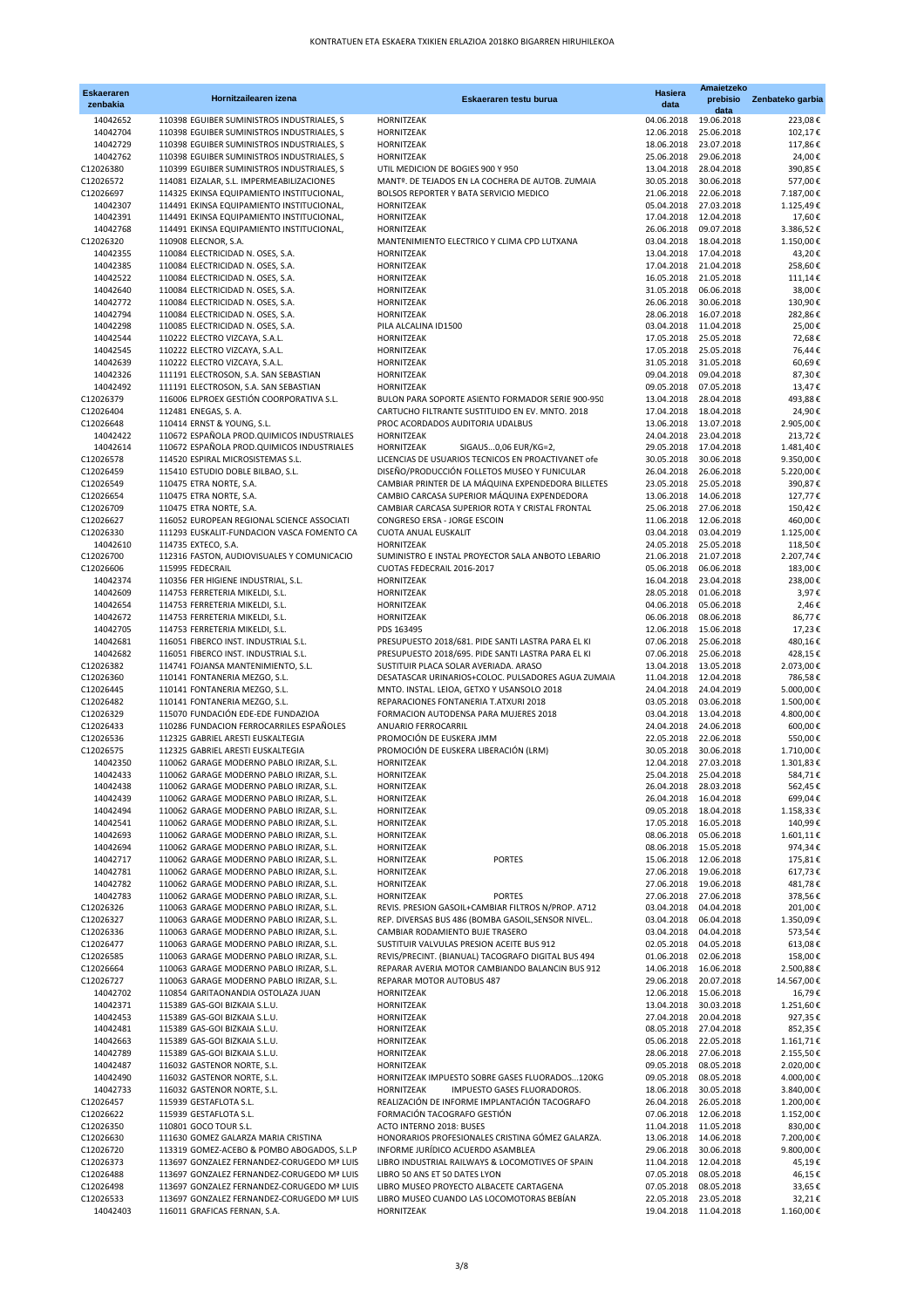| <b>Eskaeraren</b><br>zenbakia | Hornitzailearen izena                                                                    | Eskaeraren testu burua                                                                     | <b>Hasiera</b><br>data   | Amaietzeko<br>prebisio                         | Zenbateko garbia        |
|-------------------------------|------------------------------------------------------------------------------------------|--------------------------------------------------------------------------------------------|--------------------------|------------------------------------------------|-------------------------|
| 14042652                      | 110398 EGUIBER SUMINISTROS INDUSTRIALES, S                                               | HORNITZEAK                                                                                 | 04.06.2018               | data<br>19.06.2018                             | 223,08€                 |
| 14042704                      | 110398 EGUIBER SUMINISTROS INDUSTRIALES, S                                               | HORNITZEAK                                                                                 | 12.06.2018               | 25.06.2018                                     | 102,17€                 |
| 14042729                      | 110398 EGUIBER SUMINISTROS INDUSTRIALES, S                                               | HORNITZEAK                                                                                 | 18.06.2018               | 23.07.2018                                     | 117,86€                 |
| 14042762                      | 110398 EGUIBER SUMINISTROS INDUSTRIALES, S                                               | HORNITZEAK                                                                                 | 25.06.2018               | 29.06.2018                                     | 24,00€                  |
| C12026380                     | 110399 EGUIBER SUMINISTROS INDUSTRIALES, S                                               | UTIL MEDICION DE BOGIES 900 Y 950                                                          | 13.04.2018               | 28.04.2018                                     | 390,85€                 |
| C12026572<br>C12026697        | 114081 EIZALAR, S.L. IMPERMEABILIZACIONES<br>114325 EKINSA EQUIPAMIENTO INSTITUCIONAL,   | MANTº. DE TEJADOS EN LA COCHERA DE AUTOB. ZUMAIA                                           | 30.05.2018               | 30.06.2018                                     | 577,00€<br>7.187,00€    |
| 14042307                      | 114491 EKINSA EQUIPAMIENTO INSTITUCIONAL,                                                | BOLSOS REPORTER Y BATA SERVICIO MEDICO<br>HORNITZEAK                                       | 05.04.2018               | 21.06.2018 22.06.2018<br>27.03.2018            | 1.125,49€               |
| 14042391                      | 114491 EKINSA EQUIPAMIENTO INSTITUCIONAL,                                                | HORNITZEAK                                                                                 |                          | 17.04.2018 12.04.2018                          | 17,60€                  |
| 14042768                      | 114491 EKINSA EQUIPAMIENTO INSTITUCIONAL,                                                | HORNITZEAK                                                                                 |                          | 26.06.2018 09.07.2018                          | 3.386,52€               |
| C12026320                     | 110908 ELECNOR, S.A.                                                                     | MANTENIMIENTO ELECTRICO Y CLIMA CPD LUTXANA                                                |                          | 03.04.2018 18.04.2018                          | 1.150,00€               |
| 14042355                      | 110084 ELECTRICIDAD N. OSES, S.A.                                                        | HORNITZEAK                                                                                 |                          | 13.04.2018 17.04.2018                          | 43,20€                  |
| 14042385                      | 110084 ELECTRICIDAD N. OSES, S.A.                                                        | HORNITZEAK                                                                                 | 17.04.2018               | 21.04.2018                                     | 258,60€                 |
| 14042522                      | 110084 ELECTRICIDAD N. OSES, S.A.                                                        | HORNITZEAK                                                                                 |                          | 16.05.2018 21.05.2018                          | 111,14€                 |
| 14042640                      | 110084 ELECTRICIDAD N. OSES, S.A.                                                        | HORNITZEAK                                                                                 |                          | 31.05.2018   06.06.2018                        | 38,00€                  |
| 14042772                      | 110084 ELECTRICIDAD N. OSES, S.A.                                                        | HORNITZEAK                                                                                 | 26.06.2018               | 30.06.2018                                     | 130,90€                 |
| 14042794<br>14042298          | 110084 ELECTRICIDAD N. OSES, S.A.<br>110085 ELECTRICIDAD N. OSES, S.A.                   | HORNITZEAK<br>PILA ALCALINA ID1500                                                         |                          | 28.06.2018 16.07.2018<br>03.04.2018 11.04.2018 | 282,86€<br>25,00€       |
| 14042544                      | 110222 ELECTRO VIZCAYA, S.A.L.                                                           | HORNITZEAK                                                                                 |                          | 17.05.2018 25.05.2018                          | 72,68€                  |
| 14042545                      | 110222 ELECTRO VIZCAYA, S.A.L.                                                           | HORNITZEAK                                                                                 |                          | 17.05.2018 25.05.2018                          | 76,44€                  |
| 14042639                      | 110222 ELECTRO VIZCAYA, S.A.L.                                                           | HORNITZEAK                                                                                 |                          | 31.05.2018 31.05.2018                          | 60,69€                  |
| 14042326                      | 111191 ELECTROSON, S.A. SAN SEBASTIAN                                                    | HORNITZEAK                                                                                 |                          | 09.04.2018 09.04.2018                          | 87,30€                  |
| 14042492                      | 111191 ELECTROSON, S.A. SAN SEBASTIAN                                                    | HORNITZEAK                                                                                 | 09.05.2018               | 07.05.2018                                     | 13,47€                  |
| C12026379                     | 116006 ELPROEX GESTIÓN COORPORATIVA S.L.                                                 | BULON PARA SOPORTE ASIENTO FORMADOR SERIE 900-950                                          |                          | 13.04.2018 28.04.2018                          | 493,88€                 |
| C12026404                     | 112481 ENEGAS, S. A.                                                                     | CARTUCHO FILTRANTE SUSTITUIDO EN EV. MNTO. 2018                                            |                          | 17.04.2018  18.04.2018                         | 24,90€                  |
| C12026648                     | 110414 ERNST & YOUNG, S.L.                                                               | PROC ACORDADOS AUDITORIA UDALBUS                                                           |                          | 13.06.2018 13.07.2018                          | 2.905,00€               |
| 14042422<br>14042614          | 110672 ESPAÑOLA PROD.QUIMICOS INDUSTRIALES<br>110672 ESPAÑOLA PROD.QUIMICOS INDUSTRIALES | HORNITZEAK<br>SIGAUS0,06 EUR/KG=2,                                                         |                          | 24.04.2018 23.04.2018                          | 213,72€<br>1.481.40€    |
| C12026578                     | 114520 ESPIRAL MICROSISTEMAS S.L.                                                        | HORNITZEAK<br>LICENCIAS DE USUARIOS TECNICOS EN PROACTIVANET ofe                           |                          | 29.05.2018 17.04.2018<br>30.05.2018 30.06.2018 | 9.350,00€               |
| C12026459                     | 115410 ESTUDIO DOBLE BILBAO, S.L.                                                        | DISEÑO/PRODUCCIÓN FOLLETOS MUSEO Y FUNICULAR                                               |                          | 26.04.2018 26.06.2018                          | 5.220,00€               |
| C12026549                     | 110475 ETRA NORTE, S.A.                                                                  | CAMBIAR PRINTER DE LA MÁQUINA EXPENDEDORA BILLETES                                         |                          | 23.05.2018 25.05.2018                          | 390,87€                 |
| C12026654                     | 110475 ETRA NORTE, S.A.                                                                  | CAMBIO CARCASA SUPERIOR MÁQUINA EXPENDEDORA                                                |                          | 13.06.2018 14.06.2018                          | 127,77€                 |
| C12026709                     | 110475 ETRA NORTE, S.A.                                                                  | CAMBIAR CARCASA SUPERIOR ROTA Y CRISTAL FRONTAL                                            |                          | 25.06.2018 27.06.2018                          | 150,42€                 |
| C12026627                     | 116052 EUROPEAN REGIONAL SCIENCE ASSOCIATI                                               | CONGRESO ERSA - JORGE ESCOIN                                                               |                          | 11.06.2018 12.06.2018                          | 460,00€                 |
| C12026330                     | 111293 EUSKALIT-FUNDACION VASCA FOMENTO CA                                               | CUOTA ANUAL EUSKALIT                                                                       |                          | 03.04.2018 03.04.2019                          | 1.125,00€               |
| 14042610                      | 114735 EXTECO, S.A.                                                                      | HORNITZEAK                                                                                 |                          | 24.05.2018 25.05.2018                          | 118,50€                 |
| C12026700                     | 112316 FASTON, AUDIOVISUALES Y COMUNICACIO                                               | SUMINISTRO E INSTAL PROYECTOR SALA ANBOTO LEBARIO                                          |                          | 21.06.2018 21.07.2018                          | 2.207,74€               |
| C12026606                     | 115995 FEDECRAIL                                                                         | CUOTAS FEDECRAIL 2016-2017                                                                 | 05.06.2018               | 06.06.2018                                     | 183,00€                 |
| 14042374                      | 110356 FER HIGIENE INDUSTRIAL, S.L.<br>114753 FERRETERIA MIKELDI, S.L.                   | HORNITZEAK                                                                                 |                          | 16.04.2018 23.04.2018<br>28.05.2018 01.06.2018 | 238,00€<br>3,97€        |
| 14042609<br>14042654          | 114753 FERRETERIA MIKELDI, S.L.                                                          | HORNITZEAK<br>HORNITZEAK                                                                   |                          | 04.06.2018  05.06.2018                         | 2,46€                   |
| 14042672                      | 114753 FERRETERIA MIKELDI, S.L.                                                          | HORNITZEAK                                                                                 | 06.06.2018               | 08.06.2018                                     | 86,77€                  |
| 14042705                      | 114753 FERRETERIA MIKELDI, S.L.                                                          | PDS 163495                                                                                 |                          | 12.06.2018 15.06.2018                          | 17,23€                  |
| 14042681                      | 116051 FIBERCO INST. INDUSTRIAL S.L.                                                     | PRESUPUESTO 2018/681. PIDE SANTI LASTRA PARA EL KI                                         |                          | 07.06.2018 25.06.2018                          | 480,16€                 |
| 14042682                      | 116051 FIBERCO INST. INDUSTRIAL S.L.                                                     | PRESUPUESTO 2018/695. PIDE SANTI LASTRA PARA EL KI                                         |                          | 07.06.2018 25.06.2018                          | 428,15€                 |
| C12026382                     | 114741 FOJANSA MANTENIMIENTO, S.L.                                                       | SUSTITUIR PLACA SOLAR AVERIADA. ARASO                                                      |                          | 13.04.2018 13.05.2018                          | 2.073,00€               |
| C12026360                     | 110141 FONTANERIA MEZGO, S.L.                                                            | DESATASCAR URINARIOS+COLOC. PULSADORES AGUA ZUMAIA                                         |                          | 11.04.2018 12.04.2018                          | 786,58€                 |
| C12026445                     | 110141 FONTANERIA MEZGO, S.L.                                                            | MNTO. INSTAL. LEIOA, GETXO Y USANSOLO 2018                                                 | 24.04.2018               | 24.04.2019                                     | 5.000,00€               |
| C12026482<br>C12026329        | 110141 FONTANERIA MEZGO, S.L.<br>115070 FUNDACIÓN EDE-EDE FUNDAZIOA                      | REPARACIONES FONTANERIA T.ATXURI 2018<br>FORMACION AUTODENSA PARA MUJERES 2018             |                          | 03.05.2018 03.06.2018<br>03.04.2018 13.04.2018 | 1.500,00€<br>4.800,00€  |
| C12026433                     | 110286 FUNDACION FERROCARRILES ESPAÑOLES                                                 | ANUARIO FERROCARRIL                                                                        |                          | 24.04.2018 24.06.2018                          | 600,00€                 |
| C12026536                     | 112325 GABRIEL ARESTI EUSKALTEGIA                                                        | PROMOCIÓN DE EUSKERA JMM                                                                   |                          | 22.05.2018 22.06.2018                          | 550,00€                 |
| C12026575                     | 112325 GABRIEL ARESTI EUSKALTEGIA                                                        | PROMOCIÓN DE EUSKERA LIBERACIÓN (LRM)                                                      | 30.05.2018               | 30.06.2018                                     | 1.710,00€               |
| 14042350                      | 110062 GARAGE MODERNO PABLO IRIZAR, S.L.                                                 | HORNITZEAK                                                                                 |                          | 12.04.2018 27.03.2018                          | 1.301,83€               |
| 14042433                      | 110062 GARAGE MODERNO PABLO IRIZAR, S.L.                                                 | HORNITZEAK                                                                                 |                          | 25.04.2018 25.04.2018                          | 584,71€                 |
| 14042438                      | 110062 GARAGE MODERNO PABLO IRIZAR, S.L.                                                 | HORNITZEAK                                                                                 | 26.04.2018               | 28.03.2018                                     | 562,45€                 |
| 14042439                      | 110062 GARAGE MODERNO PABLO IRIZAR, S.L.                                                 | HORNITZEAK                                                                                 |                          | 26.04.2018 16.04.2018                          | 699,04€                 |
| 14042494                      | 110062 GARAGE MODERNO PABLO IRIZAR, S.L.                                                 | HORNITZEAK                                                                                 | 09.05.2018               | 18.04.2018                                     | 1.158,33€               |
| 14042541                      | 110062 GARAGE MODERNO PABLO IRIZAR, S.L.                                                 | HORNITZEAK                                                                                 |                          | 17.05.2018  16.05.2018                         | 140,99€                 |
| 14042693                      | 110062 GARAGE MODERNO PABLO IRIZAR, S.L.                                                 | HORNITZEAK                                                                                 | 08.06.2018               | 05.06.2018                                     | 1.601,11€               |
| 14042694<br>14042717          | 110062 GARAGE MODERNO PABLO IRIZAR, S.L.<br>110062 GARAGE MODERNO PABLO IRIZAR, S.L.     | HORNITZEAK<br>PORTES.<br>HORNITZEAK                                                        | 08.06.2018               | 15.05.2018<br>15.06.2018 12.06.2018            | 974,34€<br>175,81€      |
| 14042781                      | 110062 GARAGE MODERNO PABLO IRIZAR, S.L.                                                 | HORNITZEAK                                                                                 | 27.06.2018               | 19.06.2018                                     | 617,73€                 |
| 14042782                      | 110062 GARAGE MODERNO PABLO IRIZAR, S.L.                                                 | HORNITZEAK                                                                                 |                          | 27.06.2018 19.06.2018                          | 481,78€                 |
| 14042783                      | 110062 GARAGE MODERNO PABLO IRIZAR, S.L.                                                 | HORNITZEAK<br>PORTES.                                                                      |                          | 27.06.2018 27.06.2018                          | 378,56€                 |
| C12026326                     | 110063 GARAGE MODERNO PABLO IRIZAR, S.L.                                                 | REVIS. PRESION GASOIL+CAMBIAR FILTROS N/PROP. A712                                         | 03.04.2018               | 04.04.2018                                     | 201,00€                 |
| C12026327                     | 110063 GARAGE MODERNO PABLO IRIZAR, S.L.                                                 | REP. DIVERSAS BUS 486 (BOMBA GASOIL, SENSOR NIVEL                                          | 03.04.2018               | 06.04.2018                                     | 1.350,09€               |
| C12026336                     | 110063 GARAGE MODERNO PABLO IRIZAR, S.L.                                                 | CAMBIAR RODAMIENTO BUJE TRASERO                                                            | 03.04.2018               | 04.04.2018                                     | 573,54€                 |
| C12026477                     | 110063 GARAGE MODERNO PABLO IRIZAR, S.L.                                                 | SUSTITUIR VALVULAS PRESION ACEITE BUS 912                                                  | 02.05.2018               | 04.05.2018                                     | 613,08€                 |
| C12026585                     | 110063 GARAGE MODERNO PABLO IRIZAR, S.L.                                                 | REVIS/PRECINT. (BIANUAL) TACOGRAFO DIGITAL BUS 494                                         | 01.06.2018               | 02.06.2018<br>16.06.2018                       | 158,00€                 |
| C12026664<br>C12026727        | 110063 GARAGE MODERNO PABLO IRIZAR, S.L.<br>110063 GARAGE MODERNO PABLO IRIZAR, S.L.     | REPARAR AVERIA MOTOR CAMBIANDO BALANCIN BUS 912<br>REPARAR MOTOR AUTOBUS 487               | 14.06.2018<br>29.06.2018 | 20.07.2018                                     | 2.500,88€<br>14.567,00€ |
| 14042702                      | 110854 GARITAONANDIA OSTOLAZA JUAN                                                       | HORNITZEAK                                                                                 |                          | 12.06.2018 15.06.2018                          | 16,79€                  |
| 14042371                      | 115389 GAS-GOI BIZKAIA S.L.U.                                                            | HORNITZEAK                                                                                 |                          | 13.04.2018 30.03.2018                          | 1.251,60€               |
| 14042453                      | 115389 GAS-GOI BIZKAIA S.L.U.                                                            | HORNITZEAK                                                                                 | 27.04.2018               | 20.04.2018                                     | 927,35€                 |
| 14042481                      | 115389 GAS-GOI BIZKAIA S.L.U.                                                            | HORNITZEAK                                                                                 | 08.05.2018               | 27.04.2018                                     | 852,35€                 |
| 14042663                      | 115389 GAS-GOI BIZKAIA S.L.U.                                                            | HORNITZEAK                                                                                 |                          | 05.06.2018 22.05.2018                          | 1.161,71€               |
| 14042789                      | 115389 GAS-GOI BIZKAIA S.L.U.                                                            | HORNITZEAK                                                                                 | 28.06.2018               | 27.06.2018                                     | 2.155,50€               |
| 14042487                      | 116032 GASTENOR NORTE, S.L.                                                              | HORNITZEAK                                                                                 | 09.05.2018               | 08.05.2018                                     | 2.020,00€               |
| 14042490                      | 116032 GASTENOR NORTE, S.L.                                                              | HORNITZEAK IMPUESTO SOBRE GASES FLUORADOS120KG                                             | 09.05.2018               | 08.05.2018                                     | 4.000,00€               |
| 14042733                      | 116032 GASTENOR NORTE, S.L.<br>115939 GESTAFLOTA S.L.                                    | HORNITZEAK<br>IMPUESTO GASES FLUORADOROS.<br>REALIZACIÓN DE INFORME IMPLANTACIÓN TACOGRAFO | 18.06.2018<br>26.04.2018 | 30.05.2018                                     | 3.840,00€               |
| C12026457<br>C12026622        | 115939 GESTAFLOTA S.L.                                                                   | FORMACIÓN TACOGRAFO GESTIÓN                                                                | 07.06.2018               | 26.05.2018<br>12.06.2018                       | 1.200,00€<br>1.152,00€  |
| C12026350                     | 110801 GOCO TOUR S.L.                                                                    | ACTO INTERNO 2018: BUSES                                                                   |                          | 11.04.2018 11.05.2018                          | 830,00€                 |
| C12026630                     | 111630 GOMEZ GALARZA MARIA CRISTINA                                                      | HONORARIOS PROFESIONALES CRISTINA GÓMEZ GALARZA.                                           |                          | 13.06.2018 14.06.2018                          | 7.200,00€               |
| C12026720                     | 113319 GOMEZ-ACEBO & POMBO ABOGADOS, S.L.P                                               | INFORME JURÍDICO ACUERDO ASAMBLEA                                                          | 29.06.2018               | 30.06.2018                                     | 9.800,00€               |
| C12026373                     | 113697 GONZALEZ FERNANDEZ-CORUGEDO Mª LUIS                                               | LIBRO INDUSTRIAL RAILWAYS & LOCOMOTIVES OF SPAIN                                           | 11.04.2018               | 12.04.2018                                     | 45,19€                  |
| C12026488                     | 113697 GONZALEZ FERNANDEZ-CORUGEDO Mª LUIS                                               | LIBRO 50 ANS ET 50 DATES LYON                                                              | 07.05.2018               | 08.05.2018                                     | 46,15€                  |
| C12026498                     | 113697 GONZALEZ FERNANDEZ-CORUGEDO Mª LUIS                                               | LIBRO MUSEO PROYECTO ALBACETE CARTAGENA                                                    | 07.05.2018               | 08.05.2018                                     | 33,65€                  |
| C12026533                     | 113697 GONZALEZ FERNANDEZ-CORUGEDO Mª LUIS                                               | LIBRO MUSEO CUANDO LAS LOCOMOTORAS BEBÍAN                                                  |                          | 22.05.2018 23.05.2018                          | 32,21€                  |
| 14042403                      | 116011 GRAFICAS FERNAN, S.A.                                                             | HORNITZEAK                                                                                 |                          | 19.04.2018 11.04.2018                          | 1.160,00€               |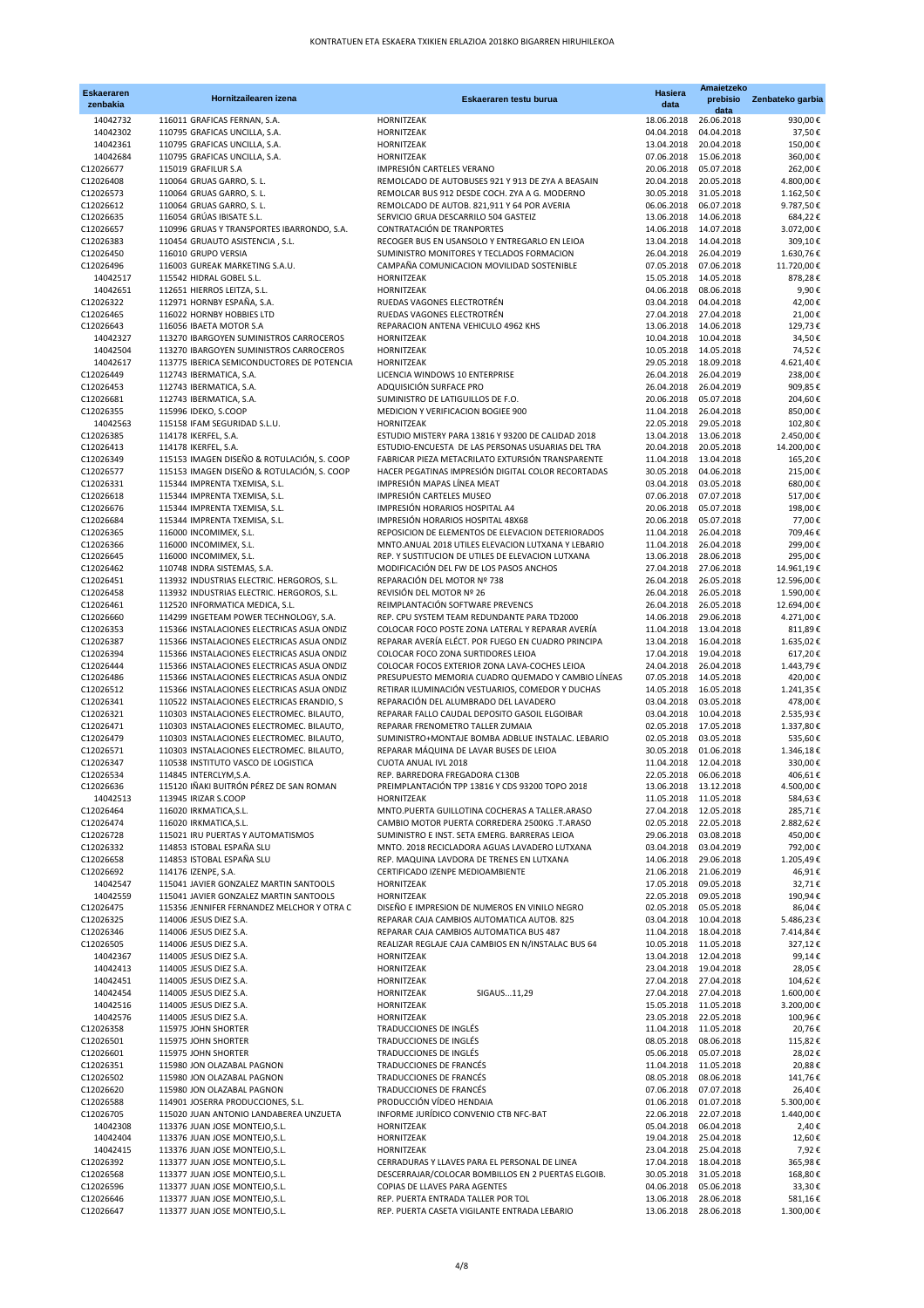| <b>Eskaeraren</b>      | Hornitzailearen izena                                                                   | Eskaeraren testu burua                                                                      | <b>Hasiera</b>        | Amaietzeko<br>prebisio                          | Zenbateko garbia        |
|------------------------|-----------------------------------------------------------------------------------------|---------------------------------------------------------------------------------------------|-----------------------|-------------------------------------------------|-------------------------|
| zenbakia               |                                                                                         |                                                                                             | data                  | data                                            |                         |
| 14042732               | 116011 GRAFICAS FERNAN, S.A.                                                            | HORNITZEAK                                                                                  | 18.06.2018            | 26.06.2018                                      | 930,00€                 |
| 14042302               | 110795 GRAFICAS UNCILLA, S.A.                                                           | HORNITZEAK                                                                                  | 04.04.2018            | 04.04.2018                                      | 37,50€                  |
| 14042361<br>14042684   | 110795 GRAFICAS UNCILLA, S.A.<br>110795 GRAFICAS UNCILLA, S.A.                          | HORNITZEAK<br>HORNITZEAK                                                                    | 13.04.2018            | 20.04.2018<br>07.06.2018 15.06.2018             | 150,00€<br>360,00€      |
| C12026677              | 115019 GRAFILUR S.A                                                                     | IMPRESIÓN CARTELES VERANO                                                                   |                       | 20.06.2018 05.07.2018                           | 262,00€                 |
| C12026408              | 110064 GRUAS GARRO, S. L.                                                               | REMOLCADO DE AUTOBUSES 921 Y 913 DE ZYA A BEASAIN                                           |                       | 20.04.2018 20.05.2018                           | 4.800,00€               |
| C12026573              | 110064 GRUAS GARRO, S. L.                                                               | REMOLCAR BUS 912 DESDE COCH. ZYA A G. MODERNO                                               |                       | 30.05.2018 31.05.2018                           | 1.162,50€               |
| C12026612              | 110064 GRUAS GARRO, S. L.                                                               | REMOLCADO DE AUTOB. 821,911 Y 64 POR AVERIA                                                 | 06.06.2018            | 06.07.2018                                      | 9.787,50€               |
| C12026635              | 116054 GRÚAS IBISATE S.L.                                                               | SERVICIO GRUA DESCARRILO 504 GASTEIZ                                                        |                       | 13.06.2018 14.06.2018                           | 684,22€                 |
| C12026657              | 110996 GRUAS Y TRANSPORTES IBARRONDO, S.A.                                              | CONTRATACIÓN DE TRANPORTES                                                                  |                       | 14.06.2018 14.07.2018                           | 3.072,00€               |
| C12026383              | 110454 GRUAUTO ASISTENCIA, S.L.                                                         | RECOGER BUS EN USANSOLO Y ENTREGARLO EN LEIOA                                               |                       | 13.04.2018 14.04.2018                           | 309,10€                 |
| C12026450<br>C12026496 | 116010 GRUPO VERSIA<br>116003 GUREAK MARKETING S.A.U.                                   | SUMINISTRO MONITORES Y TECLADOS FORMACION<br>CAMPAÑA COMUNICACION MOVILIDAD SOSTENIBLE      |                       | 26.04.2018 26.04.2019<br>07.05.2018 07.06.2018  | 1.630,76€<br>11.720,00€ |
| 14042517               | 115542 HIDRAL GOBEL S.L.                                                                | <b>HORNITZEAK</b>                                                                           |                       | 15.05.2018 14.05.2018                           | 878,28€                 |
| 14042651               | 112651 HIERROS LEITZA, S.L.                                                             | HORNITZEAK                                                                                  |                       | 04.06.2018 08.06.2018                           | 9,90€                   |
| C12026322              | 112971 HORNBY ESPAÑA, S.A.                                                              | RUEDAS VAGONES ELECTROTRÉN                                                                  |                       | 03.04.2018 04.04.2018                           | 42,00€                  |
| C12026465              | 116022 HORNBY HOBBIES LTD                                                               | RUEDAS VAGONES ELECTROTRÉN                                                                  |                       | 27.04.2018 27.04.2018                           | 21,00€                  |
| C12026643              | 116056 IBAETA MOTOR S.A                                                                 | REPARACION ANTENA VEHICULO 4962 KHS                                                         | 13.06.2018            | 14.06.2018                                      | 129,73€                 |
| 14042327               | 113270 IBARGOYEN SUMINISTROS CARROCEROS                                                 | HORNITZEAK                                                                                  |                       | 10.04.2018 10.04.2018                           | 34,50€                  |
| 14042504<br>14042617   | 113270 IBARGOYEN SUMINISTROS CARROCEROS                                                 | HORNITZEAK                                                                                  |                       | 10.05.2018 14.05.2018                           | 74,52€                  |
| C12026449              | 113775 IBERICA SEMICONDUCTORES DE POTENCIA<br>112743 IBERMATICA, S.A.                   | HORNITZEAK<br>LICENCIA WINDOWS 10 ENTERPRISE                                                |                       | 29.05.2018 18.09.2018<br>26.04.2018 26.04.2019  | 4.621,40€<br>238,00€    |
| C12026453              | 112743 IBERMATICA, S.A.                                                                 | ADQUISICIÓN SURFACE PRO                                                                     | 26.04.2018            | 26.04.2019                                      | 909.85€                 |
| C12026681              | 112743 IBERMATICA, S.A.                                                                 | SUMINISTRO DE LATIGUILLOS DE F.O.                                                           |                       | 20.06.2018  05.07.2018                          | 204,60€                 |
| C12026355              | 115996 IDEKO, S.COOP                                                                    | MEDICION Y VERIFICACION BOGIEE 900                                                          |                       | 11.04.2018 26.04.2018                           | 850,00€                 |
| 14042563               | 115158 IFAM SEGURIDAD S.L.U.                                                            | HORNITZEAK                                                                                  |                       | 22.05.2018 29.05.2018                           | 102,80€                 |
| C12026385              | 114178 IKERFEL, S.A.                                                                    | ESTUDIO MISTERY PARA 13816 Y 93200 DE CALIDAD 2018                                          |                       | 13.04.2018 13.06.2018                           | 2.450,00€               |
| C12026413              | 114178 IKERFEL, S.A.                                                                    | ESTUDIO-ENCUESTA DE LAS PERSONAS USUARIAS DEL TRA                                           | 20.04.2018            | 20.05.2018                                      | 14.200,00€              |
| C12026349              | 115153 IMAGEN DISEÑO & ROTULACIÓN, S. COOP                                              | FABRICAR PIEZA METACRILATO EXTURSIÓN TRANSPARENTE                                           |                       | 11.04.2018 13.04.2018                           | 165,20€                 |
| C12026577              | 115153 IMAGEN DISEÑO & ROTULACIÓN, S. COOP                                              | HACER PEGATINAS IMPRESIÓN DIGITAL COLOR RECORTADAS                                          |                       | 30.05.2018  04.06.2018<br>03.04.2018 03.05.2018 | 215,00€                 |
| C12026331<br>C12026618 | 115344 IMPRENTA TXEMISA, S.L.<br>115344 IMPRENTA TXEMISA, S.L.                          | IMPRESIÓN MAPAS LÍNEA MEAT<br>IMPRESIÓN CARTELES MUSEO                                      |                       | 07.06.2018 07.07.2018                           | 680,00€<br>517,00€      |
| C12026676              | 115344 IMPRENTA TXEMISA, S.L.                                                           | IMPRESIÓN HORARIOS HOSPITAL A4                                                              | 20.06.2018            | 05.07.2018                                      | 198,00€                 |
| C12026684              | 115344 IMPRENTA TXEMISA, S.L.                                                           | IMPRESIÓN HORARIOS HOSPITAL 48X68                                                           |                       | 20.06.2018 05.07.2018                           | 77,00€                  |
| C12026365              | 116000 INCOMIMEX, S.L.                                                                  | REPOSICION DE ELEMENTOS DE ELEVACION DETERIORADOS                                           |                       | 11.04.2018 26.04.2018                           | 709,46€                 |
| C12026366              | 116000 INCOMIMEX, S.L.                                                                  | MNTO.ANUAL 2018 UTILES ELEVACION LUTXANA Y LEBARIO                                          | 11.04.2018 26.04.2018 |                                                 | 299,00€                 |
| C12026645              | 116000 INCOMIMEX, S.L.                                                                  | REP. Y SUSTITUCION DE UTILES DE ELEVACION LUTXANA                                           |                       | 13.06.2018 28.06.2018                           | 295,00€                 |
| C12026462              | 110748 INDRA SISTEMAS, S.A.                                                             | MODIFICACIÓN DEL FW DE LOS PASOS ANCHOS                                                     | 27.04.2018            | 27.06.2018                                      | 14.961,19€              |
| C12026451              | 113932 INDUSTRIAS ELECTRIC. HERGOROS, S.L.                                              | REPARACIÓN DEL MOTOR Nº 738                                                                 |                       | 26.04.2018 26.05.2018                           | 12.596,00€              |
| C12026458<br>C12026461 | 113932 INDUSTRIAS ELECTRIC. HERGOROS, S.L.<br>112520 INFORMATICA MEDICA, S.L.           | REVISIÓN DEL MOTOR Nº 26<br>REIMPLANTACIÓN SOFTWARE PREVENCS                                |                       | 26.04.2018 26.05.2018<br>26.04.2018 26.05.2018  | 1.590,00€<br>12.694,00€ |
| C12026660              | 114299 INGETEAM POWER TECHNOLOGY, S.A.                                                  | REP. CPU SYSTEM TEAM REDUNDANTE PARA TD2000                                                 |                       | 14.06.2018 29.06.2018                           | 4.271,00€               |
| C12026353              | 115366 INSTALACIONES ELECTRICAS ASUA ONDIZ                                              | COLOCAR FOCO POSTE ZONA LATERAL Y REPARAR AVERÍA                                            |                       | 11.04.2018 13.04.2018                           | 811,89€                 |
| C12026387              | 115366 INSTALACIONES ELECTRICAS ASUA ONDIZ                                              | REPARAR AVERÍA ELÉCT. POR FUEGO EN CUADRO PRINCIPA                                          |                       | 13.04.2018  16.04.2018                          | 1.635,02€               |
| C12026394              | 115366 INSTALACIONES ELECTRICAS ASUA ONDIZ                                              | COLOCAR FOCO ZONA SURTIDORES LEIOA                                                          |                       | 17.04.2018 19.04.2018                           | 617,20€                 |
| C12026444              | 115366 INSTALACIONES ELECTRICAS ASUA ONDIZ                                              | COLOCAR FOCOS EXTERIOR ZONA LAVA-COCHES LEIOA                                               |                       | 24.04.2018 26.04.2018                           | 1.443,79€               |
| C12026486              | 115366 INSTALACIONES ELECTRICAS ASUA ONDIZ                                              | PRESUPUESTO MEMORIA CUADRO QUEMADO Y CAMBIO LÍNEAS                                          |                       | 07.05.2018 14.05.2018                           | 420,00€                 |
| C12026512              | 115366 INSTALACIONES ELECTRICAS ASUA ONDIZ                                              | RETIRAR ILUMINACIÓN VESTUARIOS, COMEDOR Y DUCHAS                                            |                       | 14.05.2018  16.05.2018                          | 1.241,35€               |
| C12026341<br>C12026321 | 110522 INSTALACIONES ELECTRICAS ERANDIO, S<br>110303 INSTALACIONES ELECTROMEC. BILAUTO, | REPARACIÓN DEL ALUMBRADO DEL LAVADERO<br>REPARAR FALLO CAUDAL DEPOSITO GASOIL ELGOIBAR      |                       | 03.04.2018 03.05.2018<br>03.04.2018 10.04.2018  | 478,00€<br>2.535,93€    |
| C12026471              | 110303 INSTALACIONES ELECTROMEC. BILAUTO,                                               | REPARAR FRENOMETRO TALLER ZUMAIA                                                            |                       | 02.05.2018 17.05.2018                           | 1.337,80€               |
| C12026479              | 110303 INSTALACIONES ELECTROMEC. BILAUTO,                                               | SUMINISTRO+MONTAJE BOMBA ADBLUE INSTALAC. LEBARIO                                           |                       | 02.05.2018 03.05.2018                           | 535,60€                 |
| C12026571              | 110303 INSTALACIONES ELECTROMEC. BILAUTO,                                               | REPARAR MÁQUINA DE LAVAR BUSES DE LEIOA                                                     | 30.05.2018            | 01.06.2018                                      | 1.346,18€               |
| C12026347              | 110538 INSTITUTO VASCO DE LOGISTICA                                                     | <b>CUOTA ANUAL IVL 2018</b>                                                                 | 11.04.2018 12.04.2018 |                                                 | 330,00€                 |
| C12026534              | 114845 INTERCLYM, S.A.                                                                  | REP. BARREDORA FREGADORA C130B                                                              |                       | 22.05.2018  06.06.2018                          | 406,61€                 |
| C12026636              | 115120 IÑAKI BUITRÓN PÉREZ DE SAN ROMAN                                                 | PREIMPLANTACIÓN TPP 13816 Y CDS 93200 TOPO 2018                                             |                       | 13.06.2018 13.12.2018                           | 4.500,00€               |
| 14042513               | 113945 IRIZAR S.COOP                                                                    | HORNITZEAK<br>MNTO.PUERTA GUILLOTINA COCHERAS A TALLER.ARASO                                |                       | 11.05.2018 11.05.2018<br>27.04.2018 12.05.2018  | 584,63€                 |
| C12026464<br>C12026474 | 116020 IRKMATICA, S.L.<br>116020 IRKMATICA, S.L.                                        | CAMBIO MOTOR PUERTA CORREDERA 2500KG .T.ARASO                                               |                       | 02.05.2018 22.05.2018                           | 285,71€<br>2.882,62€    |
| C12026728              | 115021 IRU PUERTAS Y AUTOMATISMOS                                                       | SUMINISTRO E INST. SETA EMERG. BARRERAS LEIOA                                               |                       | 29.06.2018 03.08.2018                           | 450,00€                 |
| C12026332              | 114853 ISTOBAL ESPAÑA SLU                                                               | MNTO. 2018 RECICLADORA AGUAS LAVADERO LUTXANA                                               |                       | 03.04.2018 03.04.2019                           | 792,00€                 |
| C12026658              | 114853 ISTOBAL ESPAÑA SLU                                                               | REP. MAQUINA LAVDORA DE TRENES EN LUTXANA                                                   |                       | 14.06.2018 29.06.2018                           | 1.205,49€               |
| C12026692              | 114176 IZENPE, S.A.                                                                     | CERTIFICADO IZENPE MEDIOAMBIENTE                                                            | 21.06.2018            | 21.06.2019                                      | 46,91€                  |
| 14042547               | 115041 JAVIER GONZALEZ MARTIN SANTOOLS                                                  | HORNITZEAK                                                                                  |                       | 17.05.2018  09.05.2018                          | 32,71€                  |
| 14042559               | 115041 JAVIER GONZALEZ MARTIN SANTOOLS                                                  | HORNITZEAK                                                                                  |                       | 22.05.2018 09.05.2018                           | 190,94€                 |
| C12026475<br>C12026325 | 115356 JENNIFER FERNANDEZ MELCHOR Y OTRA C<br>114006 JESUS DIEZ S.A.                    | DISEÑO E IMPRESION DE NUMEROS EN VINILO NEGRO<br>REPARAR CAJA CAMBIOS AUTOMATICA AUTOB. 825 | 02.05.2018            | 05.05.2018<br>03.04.2018 10.04.2018             | 86,04€<br>5.486,23€     |
| C12026346              | 114006 JESUS DIEZ S.A.                                                                  | REPARAR CAJA CAMBIOS AUTOMATICA BUS 487                                                     |                       | 11.04.2018 18.04.2018                           | 7.414,84€               |
| C12026505              | 114006 JESUS DIEZ S.A.                                                                  | REALIZAR REGLAJE CAJA CAMBIOS EN N/INSTALAC BUS 64                                          |                       | 10.05.2018 11.05.2018                           | 327,12€                 |
| 14042367               | 114005 JESUS DIEZ S.A.                                                                  | HORNITZEAK                                                                                  |                       | 13.04.2018 12.04.2018                           | 99,14€                  |
| 14042413               | 114005 JESUS DIEZ S.A.                                                                  | HORNITZEAK                                                                                  |                       | 23.04.2018 19.04.2018                           | 28,05€                  |
| 14042451               | 114005 JESUS DIEZ S.A.                                                                  | HORNITZEAK                                                                                  |                       | 27.04.2018 27.04.2018                           | 104,62€                 |
| 14042454               | 114005 JESUS DIEZ S.A.                                                                  | HORNITZEAK<br>SIGAUS11,29                                                                   |                       | 27.04.2018 27.04.2018                           | 1.600,00€               |
| 14042516               | 114005 JESUS DIEZ S.A.                                                                  | HORNITZEAK                                                                                  |                       | 15.05.2018 11.05.2018                           | 3.200,00€               |
| 14042576<br>C12026358  | 114005 JESUS DIEZ S.A.<br>115975 JOHN SHORTER                                           | HORNITZEAK<br>TRADUCCIONES DE INGLÉS                                                        |                       | 23.05.2018 22.05.2018<br>11.04.2018 11.05.2018  | 100,96€<br>20,76€       |
| C12026501              | 115975 JOHN SHORTER                                                                     | TRADUCCIONES DE INGLÉS                                                                      |                       | 08.05.2018 08.06.2018                           | 115,82€                 |
| C12026601              | 115975 JOHN SHORTER                                                                     | TRADUCCIONES DE INGLÉS                                                                      |                       | 05.06.2018 05.07.2018                           | 28,02€                  |
| C12026351              | 115980 JON OLAZABAL PAGNON                                                              | TRADUCCIONES DE FRANCÉS                                                                     |                       | 11.04.2018 11.05.2018                           | 20,88€                  |
| C12026502              | 115980 JON OLAZABAL PAGNON                                                              | TRADUCCIONES DE FRANCÉS                                                                     |                       | 08.05.2018 08.06.2018                           | 141,76€                 |
| C12026620              | 115980 JON OLAZABAL PAGNON                                                              | TRADUCCIONES DE FRANCÉS                                                                     |                       | 07.06.2018 07.07.2018                           | 26,40€                  |
| C12026588              | 114901 JOSERRA PRODUCCIONES, S.L.                                                       | PRODUCCIÓN VÍDEO HENDAIA                                                                    | 01.06.2018            | 01.07.2018                                      | 5.300,00€               |
| C12026705              | 115020 JUAN ANTONIO LANDABEREA UNZUETA                                                  | INFORME JURÍDICO CONVENIO CTB NFC-BAT                                                       | 22.06.2018            | 22.07.2018                                      | 1.440,00€               |
| 14042308<br>14042404   | 113376 JUAN JOSE MONTEJO, S.L.<br>113376 JUAN JOSE MONTEJO, S.L.                        | HORNITZEAK<br>HORNITZEAK                                                                    |                       | 05.04.2018  06.04.2018<br>19.04.2018 25.04.2018 | 2,40€<br>12,60€         |
| 14042415               | 113376 JUAN JOSE MONTEJO, S.L.                                                          | HORNITZEAK                                                                                  |                       | 23.04.2018 25.04.2018                           | 7,92€                   |
| C12026392              | 113377 JUAN JOSE MONTEJO, S.L.                                                          | CERRADURAS Y LLAVES PARA EL PERSONAL DE LINEA                                               |                       | 17.04.2018  18.04.2018                          | 365,98€                 |
| C12026568              | 113377 JUAN JOSE MONTEJO, S.L.                                                          | DESCERRAJAR/COLOCAR BOMBILLOS EN 2 PUERTAS ELGOIB.                                          | 30.05.2018            | 31.05.2018                                      | 168,80€                 |
| C12026596              | 113377 JUAN JOSE MONTEJO, S.L.                                                          | COPIAS DE LLAVES PARA AGENTES                                                               |                       | 04.06.2018 05.06.2018                           | 33,30€                  |
| C12026646              | 113377 JUAN JOSE MONTEJO, S.L.                                                          | REP. PUERTA ENTRADA TALLER POR TOL                                                          |                       | 13.06.2018 28.06.2018                           | 581,16€                 |
| C12026647              | 113377 JUAN JOSE MONTEJO, S.L.                                                          | REP. PUERTA CASETA VIGILANTE ENTRADA LEBARIO                                                | 13.06.2018            | 28.06.2018                                      | 1.300,00€               |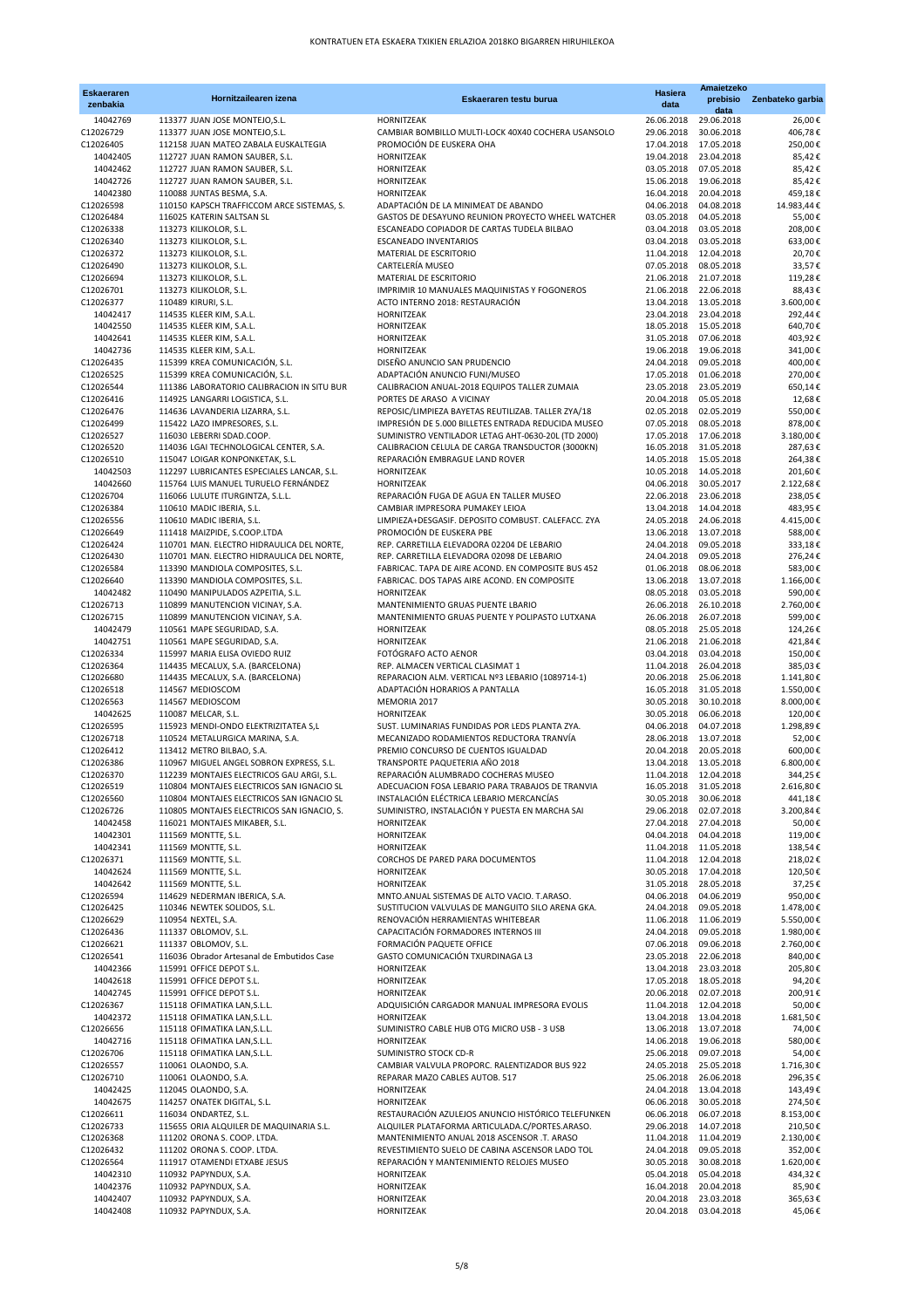| <b>Eskaeraren</b>      | Hornitzailearen izena                                                                   | Eskaeraren testu burua                                                                                   | <b>Hasiera</b>           | Amaietzeko<br>prebisio                         | Zenbateko garbia     |
|------------------------|-----------------------------------------------------------------------------------------|----------------------------------------------------------------------------------------------------------|--------------------------|------------------------------------------------|----------------------|
| zenbakia               |                                                                                         |                                                                                                          | data                     | data                                           |                      |
| 14042769               | 113377 JUAN JOSE MONTEJO, S.L.                                                          | HORNITZEAK                                                                                               | 26.06.2018               | 29.06.2018                                     | 26,00€               |
| C12026729<br>C12026405 | 113377 JUAN JOSE MONTEJO, S.L.<br>112158 JUAN MATEO ZABALA EUSKALTEGIA                  | CAMBIAR BOMBILLO MULTI-LOCK 40X40 COCHERA USANSOLO<br>PROMOCIÓN DE EUSKERA OHA                           | 29.06.2018<br>17.04.2018 | 30.06.2018<br>17.05.2018                       | 406,78€<br>250,00€   |
| 14042405               | 112727 JUAN RAMON SAUBER, S.L.                                                          | <b>HORNITZEAK</b>                                                                                        | 19.04.2018               | 23.04.2018                                     | 85,42€               |
| 14042462               | 112727 JUAN RAMON SAUBER, S.L.                                                          | HORNITZEAK                                                                                               | 03.05.2018               | 07.05.2018                                     | 85,42€               |
| 14042726               | 112727 JUAN RAMON SAUBER, S.L.                                                          | HORNITZEAK                                                                                               | 15.06.2018               | 19.06.2018                                     | 85,42€               |
| 14042380               | 110088 JUNTAS BESMA, S.A.                                                               | <b>HORNITZEAK</b>                                                                                        | 16.04.2018               | 20.04.2018                                     | 459,18€              |
| C12026598              | 110150 KAPSCH TRAFFICCOM ARCE SISTEMAS, S.                                              | ADAPTACIÓN DE LA MINIMEAT DE ABANDO                                                                      | 04.06.2018               | 04.08.2018                                     | 14.983,44€           |
| C12026484              | 116025 KATERIN SALTSAN SL                                                               | GASTOS DE DESAYUNO REUNION PROYECTO WHEEL WATCHER                                                        | 03.05.2018               | 04.05.2018                                     | 55,00€               |
| C12026338<br>C12026340 | 113273 KILIKOLOR, S.L.<br>113273 KILIKOLOR, S.L.                                        | ESCANEADO COPIADOR DE CARTAS TUDELA BILBAO<br>ESCANEADO INVENTARIOS                                      | 03.04.2018               | 03.05.2018<br>03.04.2018 03.05.2018            | 208,00€<br>633,00€   |
| C12026372              | 113273 KILIKOLOR, S.L.                                                                  | MATERIAL DE ESCRITORIO                                                                                   | 11.04.2018               | 12.04.2018                                     | 20,70€               |
| C12026490              | 113273 KILIKOLOR, S.L.                                                                  | CARTELERÍA MUSEO                                                                                         | 07.05.2018               | 08.05.2018                                     | 33,57€               |
| C12026694              | 113273 KILIKOLOR, S.L.                                                                  | MATERIAL DE ESCRITORIO                                                                                   |                          | 21.06.2018 21.07.2018                          | 119,28€              |
| C12026701              | 113273 KILIKOLOR, S.L.                                                                  | IMPRIMIR 10 MANUALES MAQUINISTAS Y FOGONEROS                                                             |                          | 21.06.2018 22.06.2018                          | 88,43€               |
| C12026377              | 110489 KIRURI, S.L.                                                                     | ACTO INTERNO 2018: RESTAURACIÓN                                                                          |                          | 13.04.2018 13.05.2018                          | 3.600,00€            |
| 14042417               | 114535 KLEER KIM, S.A.L.                                                                | HORNITZEAK                                                                                               |                          | 23.04.2018 23.04.2018                          | 292,44€              |
| 14042550<br>14042641   | 114535 KLEER KIM, S.A.L.<br>114535 KLEER KIM, S.A.L.                                    | HORNITZEAK<br>HORNITZEAK                                                                                 | 18.05.2018<br>31.05.2018 | 15.05.2018<br>07.06.2018                       | 640,70€<br>403,92€   |
| 14042736               | 114535 KLEER KIM, S.A.L.                                                                | HORNITZEAK                                                                                               |                          | 19.06.2018 19.06.2018                          | 341,00€              |
| C12026435              | 115399 KREA COMUNICACIÓN, S.L.                                                          | DISEÑO ANUNCIO SAN PRUDENCIO                                                                             |                          | 24.04.2018 09.05.2018                          | 400,00€              |
| C12026525              | 115399 KREA COMUNICACIÓN, S.L.                                                          | ADAPTACIÓN ANUNCIO FUNI/MUSEO                                                                            | 17.05.2018               | 01.06.2018                                     | 270,00€              |
| C12026544              | 111386 LABORATORIO CALIBRACION IN SITU BUR                                              | CALIBRACION ANUAL-2018 EQUIPOS TALLER ZUMAIA                                                             | 23.05.2018               | 23.05.2019                                     | 650,14€              |
| C12026416              | 114925 LANGARRI LOGISTICA, S.L.                                                         | PORTES DE ARASO A VICINAY                                                                                |                          | 20.04.2018  05.05.2018                         | 12,68€               |
| C12026476              | 114636 LAVANDERIA LIZARRA, S.L.                                                         | REPOSIC/LIMPIEZA BAYETAS REUTILIZAB. TALLER ZYA/18                                                       | 02.05.2018               | 02.05.2019                                     | 550,00€              |
| C12026499<br>C12026527 | 115422 LAZO IMPRESORES, S.L.<br>116030 LEBERRI SDAD.COOP.                               | IMPRESIÓN DE 5.000 BILLETES ENTRADA REDUCIDA MUSEO<br>SUMINISTRO VENTILADOR LETAG AHT-0630-20L (TD 2000) | 07.05.2018               | 08.05.2018<br>17.05.2018 17.06.2018            | 878,00€<br>3.180,00€ |
| C12026520              | 114036 LGAI TECHNOLOGICAL CENTER, S.A.                                                  | CALIBRACION CELULA DE CARGA TRANSDUCTOR (3000KN)                                                         | 16.05.2018               | 31.05.2018                                     | 287,63€              |
| C12026510              | 115047 LOIGAR KONPONKETAK, S.L.                                                         | REPARACIÓN EMBRAGUE LAND ROVER                                                                           |                          | 14.05.2018  15.05.2018                         | 264,38€              |
| 14042503               | 112297 LUBRICANTES ESPECIALES LANCAR, S.L.                                              | HORNITZEAK                                                                                               |                          | 10.05.2018 14.05.2018                          | 201,60€              |
| 14042660               | 115764 LUIS MANUEL TURUELO FERNÁNDEZ                                                    | HORNITZEAK                                                                                               |                          | 04.06.2018 30.05.2017                          | 2.122,68€            |
| C12026704              | 116066 LULUTE ITURGINTZA, S.L.L.                                                        | REPARACIÓN FUGA DE AGUA EN TALLER MUSEO                                                                  | 22.06.2018               | 23.06.2018                                     | 238,05€              |
| C12026384              | 110610 MADIC IBERIA, S.L.                                                               | CAMBIAR IMPRESORA PUMAKEY LEIOA                                                                          |                          | 13.04.2018 14.04.2018                          | 483.95€              |
| C12026556<br>C12026649 | 110610 MADIC IBERIA, S.L.<br>111418 MAIZPIDE, S.COOP.LTDA                               | LIMPIEZA+DESGASIF, DEPOSITO COMBUST, CALEFACC, ZYA<br>PROMOCIÓN DE EUSKERA PBE                           |                          | 24.05.2018 24.06.2018<br>13.06.2018 13.07.2018 | 4.415,00€<br>588,00€ |
| C12026424              | 110701 MAN. ELECTRO HIDRAULICA DEL NORTE,                                               | REP. CARRETILLA ELEVADORA 02204 DE LEBARIO                                                               | 24.04.2018               | 09.05.2018                                     | 333,18€              |
| C12026430              | 110701 MAN. ELECTRO HIDRAULICA DEL NORTE,                                               | REP. CARRETILLA ELEVADORA 02098 DE LEBARIO                                                               | 24.04.2018               | 09.05.2018                                     | 276,24€              |
| C12026584              | 113390 MANDIOLA COMPOSITES, S.L.                                                        | FABRICAC. TAPA DE AIRE ACOND. EN COMPOSITE BUS 452                                                       | 01.06.2018               | 08.06.2018                                     | 583,00€              |
| C12026640              | 113390 MANDIOLA COMPOSITES, S.L.                                                        | FABRICAC. DOS TAPAS AIRE ACOND. EN COMPOSITE                                                             | 13.06.2018               | 13.07.2018                                     | 1.166,00€            |
| 14042482               | 110490 MANIPULADOS AZPEITIA, S.L.                                                       | HORNITZEAK                                                                                               |                          | 08.05.2018 03.05.2018                          | 590,00€              |
| C12026713              | 110899 MANUTENCION VICINAY, S.A.                                                        | MANTENIMIENTO GRUAS PUENTE LBARIO                                                                        |                          | 26.06.2018 26.10.2018                          | 2.760,00€            |
| C12026715<br>14042479  | 110899 MANUTENCION VICINAY, S.A.<br>110561 MAPE SEGURIDAD, S.A.                         | MANTENIMIENTO GRUAS PUENTE Y POLIPASTO LUTXANA<br>HORNITZEAK                                             | 08.05.2018               | 26.06.2018 26.07.2018<br>25.05.2018            | 599,00€<br>124,26€   |
| 14042751               | 110561 MAPE SEGURIDAD, S.A.                                                             | HORNITZEAK                                                                                               |                          | 21.06.2018 21.06.2018                          | 421,84€              |
| C12026334              | 115997 MARIA ELISA OVIEDO RUIZ                                                          | FOTÓGRAFO ACTO AENOR                                                                                     | 03.04.2018               | 03.04.2018                                     | 150,00€              |
| C12026364              | 114435 MECALUX, S.A. (BARCELONA)                                                        | REP. ALMACEN VERTICAL CLASIMAT 1                                                                         | 11.04.2018               | 26.04.2018                                     | 385,03€              |
| C12026680              | 114435 MECALUX, S.A. (BARCELONA)                                                        | REPARACION ALM. VERTICAL Nº3 LEBARIO (1089714-1)                                                         |                          | 20.06.2018 25.06.2018                          | 1.141,80€            |
| C12026518              | 114567 MEDIOSCOM                                                                        | ADAPTACIÓN HORARIOS A PANTALLA                                                                           | 16.05.2018               | 31.05.2018                                     | 1.550,00€            |
| C12026563              | 114567 MEDIOSCOM                                                                        | MEMORIA 2017                                                                                             | 30.05.2018               | 30.10.2018                                     | 8.000,00€            |
| 14042625<br>C12026595  | 110087 MELCAR, S.L.<br>115923 MENDI-ONDO ELEKTRIZITATEA S,L                             | HORNITZEAK<br>SUST. LUMINARIAS FUNDIDAS POR LEDS PLANTA ZYA.                                             | 30.05.2018<br>04.06.2018 | 06.06.2018<br>04.07.2018                       | 120,00€<br>1.298,89€ |
| C12026718              | 110524 METALURGICA MARINA, S.A.                                                         | MECANIZADO RODAMIENTOS REDUCTORA TRANVÍA                                                                 | 28.06.2018               | 13.07.2018                                     | 52,00€               |
| C12026412              | 113412 METRO BILBAO, S.A.                                                               | PREMIO CONCURSO DE CUENTOS IGUALDAD                                                                      | 20.04.2018               | 20.05.2018                                     | 600,00€              |
| C12026386              | 110967 MIGUEL ANGEL SOBRON EXPRESS, S.L.                                                | TRANSPORTE PAQUETERIA AÑO 2018                                                                           |                          | 13.04.2018 13.05.2018                          | 6.800,00€            |
| C12026370              | 112239 MONTAJES ELECTRICOS GAU ARGI, S.L.                                               | REPARACIÓN ALUMBRADO COCHERAS MUSEO                                                                      |                          | 11.04.2018 12.04.2018                          | 344,25€              |
| C12026519              | 110804 MONTAJES ELECTRICOS SAN IGNACIO SL                                               | ADECUACION FOSA LEBARIO PARA TRABAJOS DE TRANVIA<br>INSTALACIÓN ELÉCTRICA LEBARIO MERCANCÍAS             | 16.05.2018               | 31.05.2018                                     | 2.616,80€            |
| C12026560<br>C12026726 | 110804 MONTAJES ELECTRICOS SAN IGNACIO SL<br>110805 MONTAJES ELECTRICOS SAN IGNACIO, S. | SUMINISTRO, INSTALACIÓN Y PUESTA EN MARCHA SAI                                                           | 30.05.2018<br>29.06.2018 | 30.06.2018<br>02.07.2018                       | 441,18€<br>3.200,84€ |
| 14042458               | 116021 MONTAJES MIKABER, S.L.                                                           | HORNITZEAK                                                                                               |                          | 27.04.2018 27.04.2018                          | 50,00€               |
| 14042301               | 111569 MONTTE, S.L.                                                                     | HORNITZEAK                                                                                               | 04.04.2018               | 04.04.2018                                     | 119,00€              |
| 14042341               | 111569 MONTTE, S.L.                                                                     | HORNITZEAK                                                                                               |                          | 11.04.2018 11.05.2018                          | 138,54€              |
| C12026371              | 111569 MONTTE, S.L.                                                                     | CORCHOS DE PARED PARA DOCUMENTOS                                                                         | 11.04.2018               | 12.04.2018                                     | 218,02€              |
| 14042624               | 111569 MONTTE, S.L.                                                                     | HORNITZEAK<br>HORNITZEAK                                                                                 |                          | 30.05.2018 17.04.2018                          | 120,50€              |
| 14042642<br>C12026594  | 111569 MONTTE, S.L.<br>114629 NEDERMAN IBERICA, S.A.                                    | MNTO.ANUAL SISTEMAS DE ALTO VACIO. T.ARASO.                                                              | 31.05.2018<br>04.06.2018 | 28.05.2018<br>04.06.2019                       | 37,25€<br>950,00€    |
| C12026425              | 110346 NEWTEK SOLIDOS, S.L.                                                             | SUSTITUCION VALVULAS DE MANGUITO SILO ARENA GKA.                                                         | 24.04.2018               | 09.05.2018                                     | 1.478,00€            |
| C12026629              | 110954 NEXTEL, S.A.                                                                     | RENOVACIÓN HERRAMIENTAS WHITEBEAR                                                                        | 11.06.2018               | 11.06.2019                                     | 5.550,00€            |
| C12026436              | 111337 OBLOMOV, S.L.                                                                    | CAPACITACIÓN FORMADORES INTERNOS III                                                                     | 24.04.2018               | 09.05.2018                                     | 1.980,00€            |
| C12026621              | 111337 OBLOMOV, S.L.                                                                    | FORMACIÓN PAQUETE OFFICE                                                                                 | 07.06.2018               | 09.06.2018                                     | 2.760,00€            |
| C12026541              | 116036 Obrador Artesanal de Embutidos Case                                              | GASTO COMUNICACIÓN TXURDINAGA L3                                                                         |                          | 23.05.2018 22.06.2018                          | 840,00€              |
| 14042366               | 115991 OFFICE DEPOT S.L.                                                                | HORNITZEAK                                                                                               |                          | 13.04.2018 23.03.2018                          | 205,80€              |
| 14042618<br>14042745   | 115991 OFFICE DEPOT S.L.<br>115991 OFFICE DEPOT S.L.                                    | HORNITZEAK<br>HORNITZEAK                                                                                 | 17.05.2018<br>20.06.2018 | 18.05.2018<br>02.07.2018                       | 94,20€<br>200,91€    |
| C12026367              | 115118 OFIMATIKA LAN, S.L.L.                                                            | ADQUISICIÓN CARGADOR MANUAL IMPRESORA EVOLIS                                                             |                          | 11.04.2018 12.04.2018                          | 50,00€               |
| 14042372               | 115118 OFIMATIKA LAN, S.L.L.                                                            | HORNITZEAK                                                                                               |                          | 13.04.2018 13.04.2018                          | 1.681,50€            |
| C12026656              | 115118 OFIMATIKA LAN, S.L.L.                                                            | SUMINISTRO CABLE HUB OTG MICRO USB - 3 USB                                                               |                          | 13.06.2018 13.07.2018                          | 74,00€               |
| 14042716               | 115118 OFIMATIKA LAN, S.L.L.                                                            | HORNITZEAK                                                                                               | 14.06.2018               | 19.06.2018                                     | 580,00€              |
| C12026706              | 115118 OFIMATIKA LAN, S.L.L.                                                            | SUMINISTRO STOCK CD-R                                                                                    | 25.06.2018               | 09.07.2018                                     | 54,00€               |
| C12026557<br>C12026710 | 110061 OLAONDO, S.A.<br>110061 OLAONDO, S.A.                                            | CAMBIAR VALVULA PROPORC. RALENTIZADOR BUS 922<br>REPARAR MAZO CABLES AUTOB. 517                          | 24.05.2018               | 25.05.2018<br>25.06.2018 26.06.2018            | 1.716,30€<br>296,35€ |
| 14042425               | 112045 OLAONDO, S.A.                                                                    | HORNITZEAK                                                                                               |                          | 24.04.2018 13.04.2018                          | 143,49€              |
| 14042675               | 114257 ONATEK DIGITAL, S.L.                                                             | HORNITZEAK                                                                                               | 06.06.2018               | 30.05.2018                                     | 274,50€              |
| C12026611              | 116034 ONDARTEZ, S.L.                                                                   | RESTAURACIÓN AZULEJOS ANUNCIO HISTÓRICO TELEFUNKEN                                                       | 06.06.2018               | 06.07.2018                                     | 8.153,00€            |
| C12026733              | 115655 ORIA ALQUILER DE MAQUINARIA S.L.                                                 | ALQUILER PLATAFORMA ARTICULADA.C/PORTES.ARASO.                                                           |                          | 29.06.2018 14.07.2018                          | 210,50€              |
| C12026368              | 111202 ORONA S. COOP. LTDA.                                                             | MANTENIMIENTO ANUAL 2018 ASCENSOR .T. ARASO                                                              |                          | 11.04.2018 11.04.2019                          | 2.130,00€            |
| C12026432              | 111202 ORONA S. COOP. LTDA.                                                             | REVESTIMIENTO SUELO DE CABINA ASCENSOR LADO TOL                                                          | 24.04.2018               | 09.05.2018                                     | 352,00€              |
| C12026564<br>14042310  | 111917 OTAMENDI ETXABE JESUS                                                            | REPARACIÓN Y MANTENIMIENTO RELOJES MUSEO<br>HORNITZEAK                                                   | 30.05.2018<br>05.04.2018 | 30.08.2018<br>05.04.2018                       | 1.620,00€<br>434,32€ |
| 14042376               | 110932 PAPYNDUX, S.A.<br>110932 PAPYNDUX, S.A.                                          | HORNITZEAK                                                                                               | 16.04.2018               | 20.04.2018                                     | 85,90€               |
| 14042407               | 110932 PAPYNDUX, S.A.                                                                   | HORNITZEAK                                                                                               |                          | 20.04.2018 23.03.2018                          | 365,63€              |
| 14042408               | 110932 PAPYNDUX, S.A.                                                                   | HORNITZEAK                                                                                               | 20.04.2018               | 03.04.2018                                     | 45,06€               |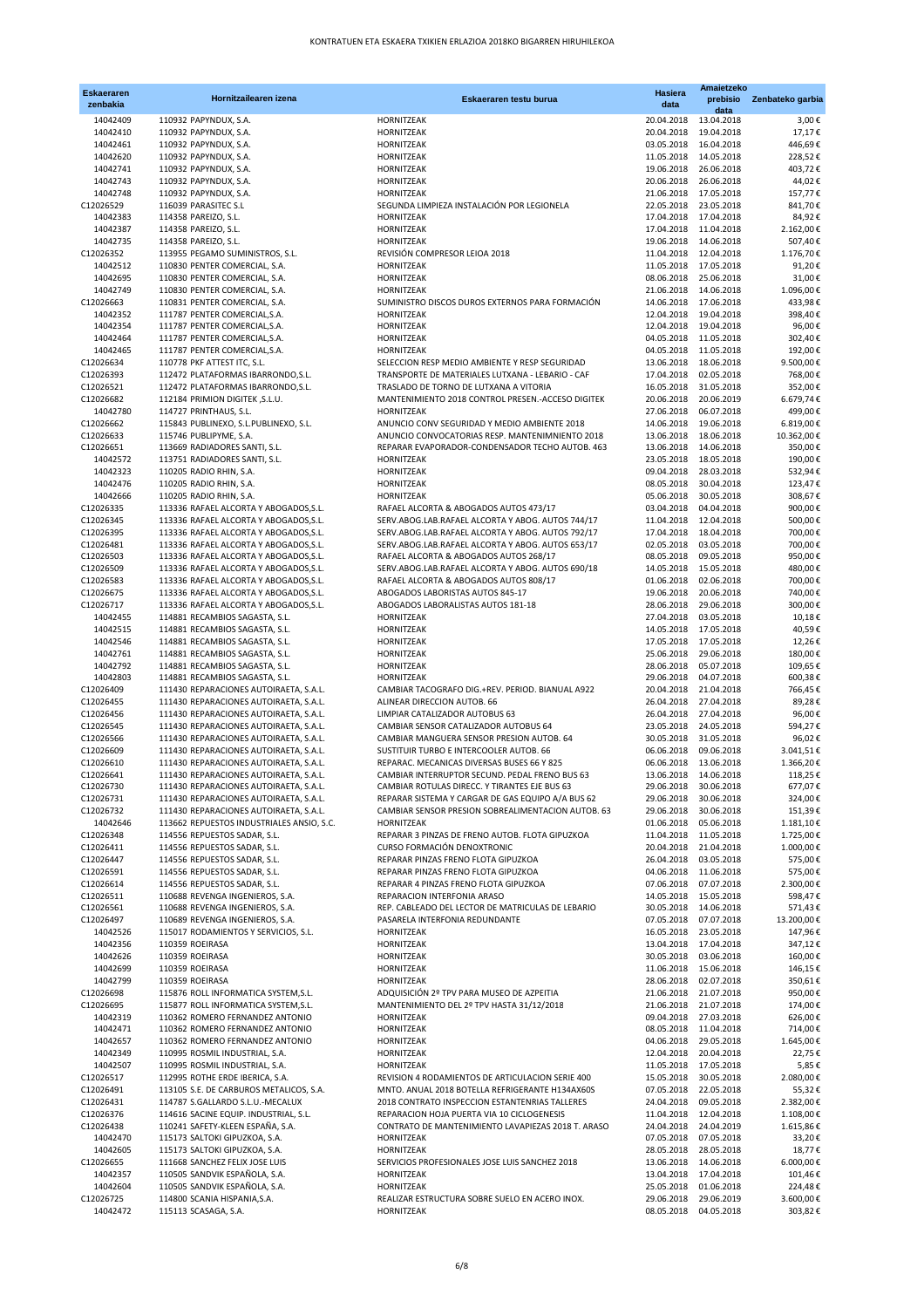| <b>Eskaeraren</b><br>zenbakia | Hornitzailearen izena                                                            | Eskaeraren testu burua                                                                                  | <b>Hasiera</b><br>data   | Amaietzeko<br>prebisio<br>data                 | Zenbateko garbia        |
|-------------------------------|----------------------------------------------------------------------------------|---------------------------------------------------------------------------------------------------------|--------------------------|------------------------------------------------|-------------------------|
| 14042409                      | 110932 PAPYNDUX, S.A.                                                            | HORNITZEAK                                                                                              | 20.04.2018               | 13.04.2018                                     | 3,00€                   |
| 14042410                      | 110932 PAPYNDUX, S.A.                                                            | HORNITZEAK                                                                                              | 20.04.2018               | 19.04.2018                                     | 17,17€                  |
| 14042461                      | 110932 PAPYNDUX, S.A.                                                            | HORNITZEAK                                                                                              | 03.05.2018               | 16.04.2018                                     | 446,69€                 |
| 14042620<br>14042741          | 110932 PAPYNDUX, S.A.<br>110932 PAPYNDUX, S.A.                                   | HORNITZEAK<br>HORNITZEAK                                                                                | 11.05.2018<br>19.06.2018 | 14.05.2018<br>26.06.2018                       | 228,52€<br>403,72€      |
| 14042743                      | 110932 PAPYNDUX, S.A.                                                            | HORNITZEAK                                                                                              | 20.06.2018               | 26.06.2018                                     | 44,02€                  |
| 14042748                      | 110932 PAPYNDUX, S.A.                                                            | HORNITZEAK                                                                                              | 21.06.2018               | 17.05.2018                                     | 157,77€                 |
| C12026529                     | 116039 PARASITEC S.L                                                             | SEGUNDA LIMPIEZA INSTALACIÓN POR LEGIONELA                                                              | 22.05.2018               | 23.05.2018                                     | 841,70€                 |
| 14042383                      | 114358 PAREIZO, S.L.                                                             | HORNITZEAK                                                                                              | 17.04.2018               | 17.04.2018                                     | 84,92€                  |
| 14042387                      | 114358 PAREIZO, S.L.                                                             | HORNITZEAK                                                                                              | 19.06.2018               | 17.04.2018 11.04.2018                          | 2.162,00€               |
| 14042735<br>C12026352         | 114358 PAREIZO, S.L.<br>113955 PEGAMO SUMINISTROS, S.L.                          | HORNITZEAK<br>REVISIÓN COMPRESOR LEIOA 2018                                                             | 11.04.2018               | 14.06.2018<br>12.04.2018                       | 507,40€<br>1.176,70€    |
| 14042512                      | 110830 PENTER COMERCIAL, S.A.                                                    | HORNITZEAK                                                                                              |                          | 11.05.2018 17.05.2018                          | 91,20€                  |
| 14042695                      | 110830 PENTER COMERCIAL, S.A.                                                    | HORNITZEAK                                                                                              | 08.06.2018               | 25.06.2018                                     | 31,00€                  |
| 14042749                      | 110830 PENTER COMERCIAL, S.A.                                                    | HORNITZEAK                                                                                              | 21.06.2018               | 14.06.2018                                     | 1.096,00€               |
| C12026663                     | 110831 PENTER COMERCIAL, S.A.                                                    | SUMINISTRO DISCOS DUROS EXTERNOS PARA FORMACIÓN                                                         | 14.06.2018               | 17.06.2018                                     | 433,98€                 |
| 14042352                      | 111787 PENTER COMERCIAL, S.A.                                                    | HORNITZEAK                                                                                              | 12.04.2018               | 19.04.2018                                     | 398,40€                 |
| 14042354<br>14042464          | 111787 PENTER COMERCIAL, S.A.<br>111787 PENTER COMERCIAL, S.A.                   | HORNITZEAK<br>HORNITZEAK                                                                                | 04.05.2018               | 12.04.2018 19.04.2018<br>11.05.2018            | 96,00€<br>302,40€       |
| 14042465                      | 111787 PENTER COMERCIAL, S.A.                                                    | HORNITZEAK                                                                                              | 04.05.2018               | 11.05.2018                                     | 192,00€                 |
| C12026634                     | 110778 PKF ATTEST ITC, S.L.                                                      | SELECCION RESP MEDIO AMBIENTE Y RESP SEGURIDAD                                                          | 13.06.2018               | 18.06.2018                                     | 9.500,00€               |
| C12026393                     | 112472 PLATAFORMAS IBARRONDO, S.L.                                               | TRANSPORTE DE MATERIALES LUTXANA - LEBARIO - CAF                                                        | 17.04.2018               | 02.05.2018                                     | 768,00€                 |
| C12026521                     | 112472 PLATAFORMAS IBARRONDO, S.L.                                               | TRASLADO DE TORNO DE LUTXANA A VITORIA                                                                  |                          | 16.05.2018 31.05.2018                          | 352,00€                 |
| C12026682                     | 112184 PRIMION DIGITEK, S.L.U.                                                   | MANTENIMIENTO 2018 CONTROL PRESEN.-ACCESO DIGITEK                                                       | 20.06.2018               | 20.06.2019                                     | 6.679,74€               |
| 14042780                      | 114727 PRINTHAUS, S.L.                                                           | HORNITZEAK                                                                                              | 27.06.2018               | 06.07.2018                                     | 499,00€                 |
| C12026662<br>C12026633        | 115843 PUBLINEXO, S.L.PUBLINEXO, S.L.<br>115746 PUBLIPYME, S.A.                  | ANUNCIO CONV SEGURIDAD Y MEDIO AMBIENTE 2018<br>ANUNCIO CONVOCATORIAS RESP. MANTENIMNIENTO 2018         | 14.06.2018<br>13.06.2018 | 19.06.2018<br>18.06.2018                       | 6.819,00€<br>10.362,00€ |
| C12026651                     | 113669 RADIADORES SANTI, S.L.                                                    | REPARAR EVAPORADOR-CONDENSADOR TECHO AUTOB. 463                                                         | 13.06.2018               | 14.06.2018                                     | 350,00€                 |
| 14042572                      | 113751 RADIADORES SANTI, S.L.                                                    | HORNITZEAK                                                                                              | 23.05.2018               | 18.05.2018                                     | 190,00€                 |
| 14042323                      | 110205 RADIO RHIN, S.A.                                                          | HORNITZEAK                                                                                              | 09.04.2018               | 28.03.2018                                     | 532,94€                 |
| 14042476                      | 110205 RADIO RHIN, S.A.                                                          | HORNITZEAK                                                                                              | 08.05.2018               | 30.04.2018                                     | 123,47€                 |
| 14042666                      | 110205 RADIO RHIN, S.A.                                                          | HORNITZEAK                                                                                              | 05.06.2018               | 30.05.2018                                     | 308,67€                 |
| C12026335                     | 113336 RAFAEL ALCORTA Y ABOGADOS, S.L.                                           | RAFAEL ALCORTA & ABOGADOS AUTOS 473/17                                                                  | 03.04.2018               | 04.04.2018                                     | 900,00€                 |
| C12026345                     | 113336 RAFAEL ALCORTA Y ABOGADOS, S.L.                                           | SERV.ABOG.LAB.RAFAEL ALCORTA Y ABOG. AUTOS 744/17                                                       | 11.04.2018               | 12.04.2018                                     | 500,00€                 |
| C12026395<br>C12026481        | 113336 RAFAEL ALCORTA Y ABOGADOS, S.L.<br>113336 RAFAEL ALCORTA Y ABOGADOS, S.L. | SERV.ABOG.LAB.RAFAEL ALCORTA Y ABOG. AUTOS 792/17<br>SERV.ABOG.LAB.RAFAEL ALCORTA Y ABOG. AUTOS 653/17  | 17.04.2018<br>02.05.2018 | 18.04.2018<br>03.05.2018                       | 700,00€<br>700,00€      |
| C12026503                     | 113336 RAFAEL ALCORTA Y ABOGADOS, S.L.                                           | RAFAEL ALCORTA & ABOGADOS AUTOS 268/17                                                                  | 08.05.2018               | 09.05.2018                                     | 950,00€                 |
| C12026509                     | 113336 RAFAEL ALCORTA Y ABOGADOS, S.L.                                           | SERV.ABOG.LAB.RAFAEL ALCORTA Y ABOG. AUTOS 690/18                                                       | 14.05.2018               | 15.05.2018                                     | 480,00€                 |
| C12026583                     | 113336 RAFAEL ALCORTA Y ABOGADOS, S.L.                                           | RAFAEL ALCORTA & ABOGADOS AUTOS 808/17                                                                  | 01.06.2018               | 02.06.2018                                     | 700,00€                 |
| C12026675                     | 113336 RAFAEL ALCORTA Y ABOGADOS, S.L.                                           | ABOGADOS LABORISTAS AUTOS 845-17                                                                        | 19.06.2018               | 20.06.2018                                     | 740,00€                 |
| C12026717                     | 113336 RAFAEL ALCORTA Y ABOGADOS, S.L.                                           | ABOGADOS LABORALISTAS AUTOS 181-18                                                                      | 28.06.2018               | 29.06.2018                                     | 300,00€                 |
| 14042455                      | 114881 RECAMBIOS SAGASTA, S.L.                                                   | HORNITZEAK                                                                                              | 27.04.2018               | 03.05.2018<br>14.05.2018 17.05.2018            | 10,18€<br>40,59€        |
| 14042515<br>14042546          | 114881 RECAMBIOS SAGASTA, S.L.<br>114881 RECAMBIOS SAGASTA, S.L.                 | HORNITZEAK<br>HORNITZEAK                                                                                | 17.05.2018               | 17.05.2018                                     | 12,26€                  |
| 14042761                      | 114881 RECAMBIOS SAGASTA, S.L.                                                   | HORNITZEAK                                                                                              | 25.06.2018               | 29.06.2018                                     | 180,00€                 |
| 14042792                      | 114881 RECAMBIOS SAGASTA, S.L.                                                   | HORNITZEAK                                                                                              | 28.06.2018               | 05.07.2018                                     | 109,65€                 |
| 14042803                      | 114881 RECAMBIOS SAGASTA, S.L.                                                   | HORNITZEAK                                                                                              | 29.06.2018               | 04.07.2018                                     | 600,38€                 |
| C12026409                     | 111430 REPARACIONES AUTOIRAETA, S.A.L.                                           | CAMBIAR TACOGRAFO DIG.+REV. PERIOD. BIANUAL A922                                                        | 20.04.2018               | 21.04.2018                                     | 766,45€                 |
| C12026455                     | 111430 REPARACIONES AUTOIRAETA, S.A.L.                                           | ALINEAR DIRECCION AUTOB. 66                                                                             | 26.04.2018               | 27.04.2018                                     | 89,28€                  |
| C12026456<br>C12026545        | 111430 REPARACIONES AUTOIRAETA, S.A.L.<br>111430 REPARACIONES AUTOIRAETA, S.A.L. | LIMPIAR CATALIZADOR AUTOBUS 63<br>CAMBIAR SENSOR CATALIZADOR AUTOBUS 64                                 | 26.04.2018<br>23.05.2018 | 27.04.2018<br>24.05.2018                       | 96,00€<br>594,27€       |
| C12026566                     | 111430 REPARACIONES AUTOIRAETA, S.A.L.                                           | CAMBIAR MANGUERA SENSOR PRESION AUTOB. 64                                                               | 30.05.2018               | 31.05.2018                                     | 96,02€                  |
| C12026609                     | 111430 REPARACIONES AUTOIRAETA, S.A.L.                                           | SUSTITUIR TURBO E INTERCOOLER AUTOB, 66                                                                 | 06.06.2018               | 09.06.2018                                     | 3.041,51€               |
| C12026610                     | 111430 REPARACIONES AUTOIRAETA, S.A.L.                                           | REPARAC. MECANICAS DIVERSAS BUSES 66 Y 825                                                              |                          | 06.06.2018 13.06.2018                          | 1.366,20€               |
| C12026641                     | 111430 REPARACIONES AUTOIRAETA, S.A.L.                                           | CAMBIAR INTERRUPTOR SECUND. PEDAL FRENO BUS 63                                                          |                          | 13.06.2018 14.06.2018                          | 118,25€                 |
| C12026730                     | 111430 REPARACIONES AUTOIRAETA, S.A.L.                                           | CAMBIAR ROTULAS DIRECC. Y TIRANTES EJE BUS 63                                                           | 29.06.2018               | 30.06.2018                                     | 677,07€                 |
| C12026731<br>C12026732        | 111430 REPARACIONES AUTOIRAETA, S.A.L.<br>111430 REPARACIONES AUTOIRAETA, S.A.L. | REPARAR SISTEMA Y CARGAR DE GAS EQUIPO A/A BUS 62<br>CAMBIAR SENSOR PRESION SOBREALIMENTACION AUTOB. 63 | 29.06.2018<br>29.06.2018 | 30.06.2018<br>30.06.2018                       | 324,00€<br>151,39€      |
| 14042646                      | 113662 REPUESTOS INDUSTRIALES ANSIO, S.C.                                        | HORNITZEAK                                                                                              | 01.06.2018               | 05.06.2018                                     | 1.181,10€               |
| C12026348                     | 114556 REPUESTOS SADAR, S.L.                                                     | REPARAR 3 PINZAS DE FRENO AUTOB. FLOTA GIPUZKOA                                                         | 11.04.2018               | 11.05.2018                                     | 1.725,00€               |
| C12026411                     | 114556 REPUESTOS SADAR, S.L.                                                     | CURSO FORMACIÓN DENOXTRONIC                                                                             | 20.04.2018               | 21.04.2018                                     | 1.000,00€               |
| C12026447                     | 114556 REPUESTOS SADAR, S.L.                                                     | REPARAR PINZAS FRENO FLOTA GIPUZKOA                                                                     | 26.04.2018               | 03.05.2018                                     | 575,00€                 |
| C12026591                     | 114556 REPUESTOS SADAR, S.L.                                                     | REPARAR PINZAS FRENO FLOTA GIPUZKOA                                                                     |                          | 04.06.2018 11.06.2018                          | 575,00€                 |
| C12026614                     | 114556 REPUESTOS SADAR, S.L.                                                     | REPARAR 4 PINZAS FRENO FLOTA GIPUZKOA                                                                   | 07.06.2018               | 07.07.2018                                     | 2.300,00€               |
| C12026511<br>C12026561        | 110688 REVENGA INGENIEROS, S.A.<br>110688 REVENGA INGENIEROS, S.A.               | REPARACION INTERFONIA ARASO<br>REP. CABLEADO DEL LECTOR DE MATRICULAS DE LEBARIO                        | 14.05.2018<br>30.05.2018 | 15.05.2018<br>14.06.2018                       | 598,47€<br>571,43€      |
| C12026497                     | 110689 REVENGA INGENIEROS, S.A.                                                  | PASARELA INTERFONIA REDUNDANTE                                                                          | 07.05.2018               | 07.07.2018                                     | 13.200,00€              |
| 14042526                      | 115017 RODAMIENTOS Y SERVICIOS, S.L.                                             | <b>HORNITZEAK</b>                                                                                       |                          | 16.05.2018 23.05.2018                          | 147,96€                 |
| 14042356                      | 110359 ROEIRASA                                                                  | HORNITZEAK                                                                                              |                          | 13.04.2018 17.04.2018                          | 347,12€                 |
| 14042626                      | 110359 ROEIRASA                                                                  | HORNITZEAK                                                                                              | 30.05.2018               | 03.06.2018                                     | 160,00€                 |
| 14042699                      | 110359 ROEIRASA                                                                  | HORNITZEAK                                                                                              | 11.06.2018               | 15.06.2018                                     | 146,15€                 |
| 14042799                      | 110359 ROEIRASA                                                                  | HORNITZEAK                                                                                              | 28.06.2018               | 02.07.2018                                     | 350,61€                 |
| C12026698<br>C12026695        | 115876 ROLL INFORMATICA SYSTEM, S.L.<br>115877 ROLL INFORMATICA SYSTEM, S.L.     | ADQUISICIÓN 2º TPV PARA MUSEO DE AZPEITIA<br>MANTENIMIENTO DEL 2º TPV HASTA 31/12/2018                  |                          | 21.06.2018 21.07.2018<br>21.06.2018 21.07.2018 | 950,00€<br>174,00€      |
| 14042319                      | 110362 ROMERO FERNANDEZ ANTONIO                                                  | HORNITZEAK                                                                                              | 09.04.2018               | 27.03.2018                                     | 626,00€                 |
| 14042471                      | 110362 ROMERO FERNANDEZ ANTONIO                                                  | HORNITZEAK                                                                                              | 08.05.2018               | 11.04.2018                                     | 714,00€                 |
| 14042657                      | 110362 ROMERO FERNANDEZ ANTONIO                                                  | HORNITZEAK                                                                                              | 04.06.2018               | 29.05.2018                                     | 1.645,00€               |
| 14042349                      | 110995 ROSMIL INDUSTRIAL, S.A.                                                   | HORNITZEAK                                                                                              |                          | 12.04.2018 20.04.2018                          | 22,75€                  |
| 14042507                      | 110995 ROSMIL INDUSTRIAL, S.A.                                                   | HORNITZEAK                                                                                              |                          | 11.05.2018 17.05.2018                          | 5,85€                   |
| C12026517<br>C12026491        | 112995 ROTHE ERDE IBERICA, S.A.<br>113105 S.E. DE CARBUROS METALICOS, S.A.       | REVISION 4 RODAMIENTOS DE ARTICULACION SERIE 400<br>MNTO. ANUAL 2018 BOTELLA REFRIGERANTE H134AX60S     | 15.05.2018<br>07.05.2018 | 30.05.2018<br>22.05.2018                       | 2.080,00€<br>55,32€     |
| C12026431                     | 114787 S.GALLARDO S.L.U.-MECALUX                                                 | 2018 CONTRATO INSPECCION ESTANTENRIAS TALLERES                                                          | 24.04.2018               | 09.05.2018                                     | 2.382,00€               |
| C12026376                     | 114616 SACINE EQUIP. INDUSTRIAL, S.L.                                            | REPARACION HOJA PUERTA VIA 10 CICLOGENESIS                                                              |                          | 11.04.2018 12.04.2018                          | 1.108,00€               |
| C12026438                     | 110241 SAFETY-KLEEN ESPAÑA, S.A.                                                 | CONTRATO DE MANTENIMIENTO LAVAPIEZAS 2018 T. ARASO                                                      |                          | 24.04.2018 24.04.2019                          | 1.615,86€               |
| 14042470                      | 115173 SALTOKI GIPUZKOA, S.A.                                                    | HORNITZEAK                                                                                              | 07.05.2018               | 07.05.2018                                     | 33,20€                  |
| 14042605                      | 115173 SALTOKI GIPUZKOA, S.A.                                                    | HORNITZEAK                                                                                              | 28.05.2018               | 28.05.2018                                     | 18,77€                  |
| C12026655                     | 111668 SANCHEZ FELIX JOSE LUIS                                                   | SERVICIOS PROFESIONALES JOSE LUIS SANCHEZ 2018                                                          |                          | 13.06.2018 14.06.2018                          | 6.000,00€               |
| 14042357<br>14042604          | 110505 SANDVIK ESPAÑOLA, S.A.<br>110505 SANDVIK ESPAÑOLA, S.A.                   | HORNITZEAK<br>HORNITZEAK                                                                                | 25.05.2018               | 13.04.2018 17.04.2018<br>01.06.2018            | 101,46€<br>224,48€      |
| C12026725                     | 114800 SCANIA HISPANIA, S.A.                                                     | REALIZAR ESTRUCTURA SOBRE SUELO EN ACERO INOX.                                                          | 29.06.2018               | 29.06.2019                                     | 3.600,00€               |
| 14042472                      | 115113 SCASAGA, S.A.                                                             | HORNITZEAK                                                                                              | 08.05.2018               | 04.05.2018                                     | 303,82€                 |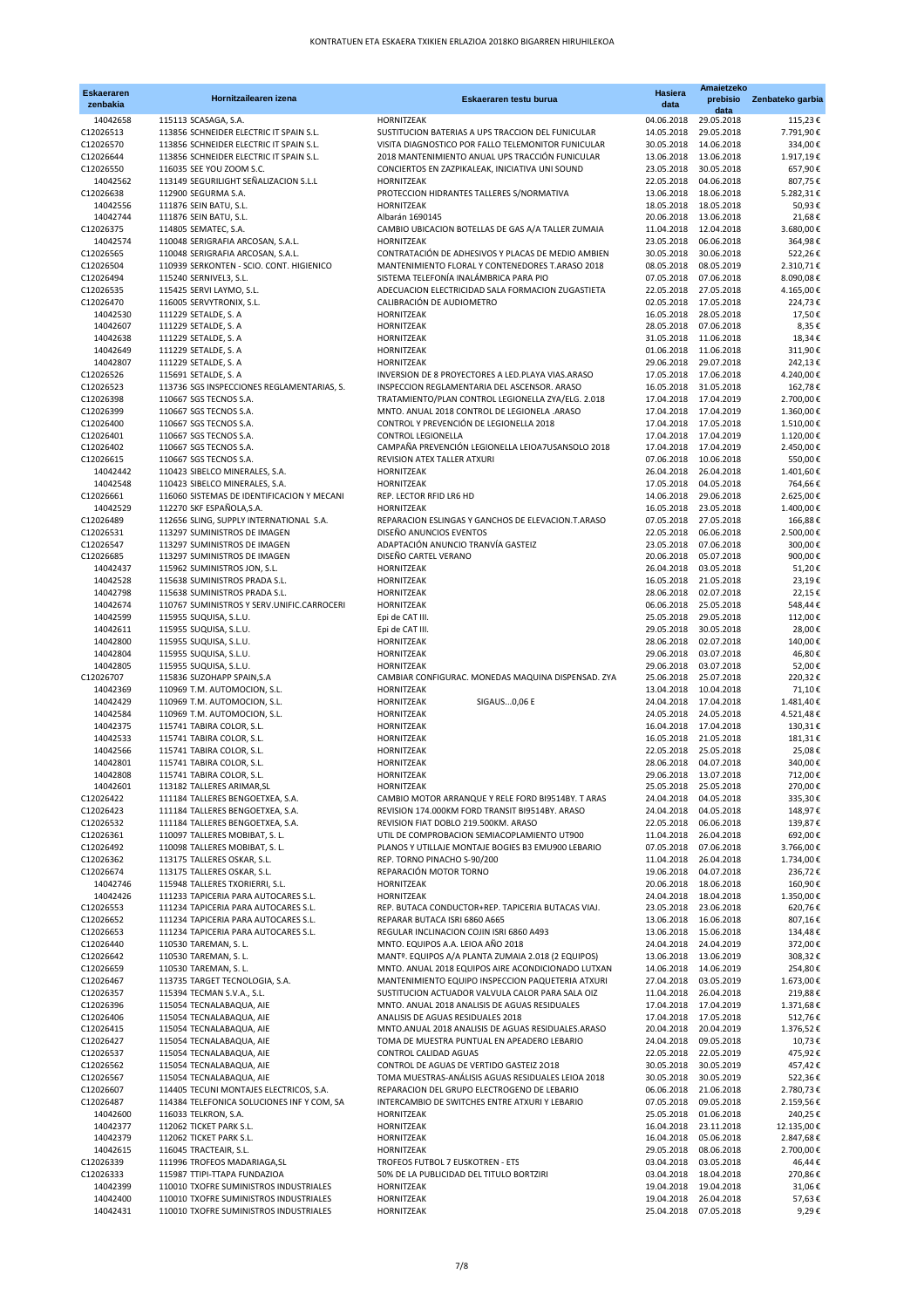| <b>Eskaeraren</b>      | Hornitzailearen izena                                                                 | Eskaeraren testu burua                                                                                  | Hasiera                  | Amaietzeko<br>prebisio              | Zenbateko garbia       |
|------------------------|---------------------------------------------------------------------------------------|---------------------------------------------------------------------------------------------------------|--------------------------|-------------------------------------|------------------------|
| zenbakia               |                                                                                       |                                                                                                         | data                     | data                                |                        |
| 14042658               | 115113 SCASAGA, S.A.                                                                  | HORNITZEAK                                                                                              | 04.06.2018               | 29.05.2018                          | 115,23€                |
| C12026513<br>C12026570 | 113856 SCHNEIDER ELECTRIC IT SPAIN S.L.<br>113856 SCHNEIDER ELECTRIC IT SPAIN S.L.    | SUSTITUCION BATERIAS A UPS TRACCION DEL FUNICULAR<br>VISITA DIAGNOSTICO POR FALLO TELEMONITOR FUNICULAR | 14.05.2018<br>30.05.2018 | 29.05.2018<br>14.06.2018            | 7.791,90€<br>334,00€   |
| C12026644              | 113856 SCHNEIDER ELECTRIC IT SPAIN S.L.                                               | 2018 MANTENIMIENTO ANUAL UPS TRACCIÓN FUNICULAR                                                         | 13.06.2018               | 13.06.2018                          | 1.917,19€              |
| C12026550              | 116035 SEE YOU ZOOM S.C.                                                              | CONCIERTOS EN ZAZPIKALEAK, INICIATIVA UNI SOUND                                                         | 23.05.2018               | 30.05.2018                          | 657,90€                |
| 14042562               | 113149 SEGURILIGHT SEÑALIZACION S.L.L                                                 | HORNITZEAK                                                                                              | 22.05.2018               | 04.06.2018                          | 807,75€                |
| C12026638              | 112900 SEGURMA S.A.                                                                   | PROTECCION HIDRANTES TALLERES S/NORMATIVA                                                               | 13.06.2018               | 18.06.2018                          | 5.282,31€              |
| 14042556               | 111876 SEIN BATU, S.L.                                                                | HORNITZEAK                                                                                              | 18.05.2018               | 18.05.2018                          | 50,93€                 |
| 14042744               | 111876 SEIN BATU, S.L.                                                                | Albarán 1690145                                                                                         | 20.06.2018               | 13.06.2018                          | 21,68€                 |
| C12026375<br>14042574  | 114805 SEMATEC, S.A.<br>110048 SERIGRAFIA ARCOSAN, S.A.L.                             | CAMBIO UBICACION BOTELLAS DE GAS A/A TALLER ZUMAIA<br>HORNITZEAK                                        | 11.04.2018<br>23.05.2018 | 12.04.2018<br>06.06.2018            | 3.680,00€<br>364,98€   |
| C12026565              | 110048 SERIGRAFIA ARCOSAN, S.A.L.                                                     | CONTRATACIÓN DE ADHESIVOS Y PLACAS DE MEDIO AMBIEN                                                      | 30.05.2018               | 30.06.2018                          | 522,26€                |
| C12026504              | 110939 SERKONTEN - SCIO. CONT. HIGIENICO                                              | MANTENIMIENTO FLORAL Y CONTENEDORES T.ARASO 2018                                                        | 08.05.2018               | 08.05.2019                          | 2.310,71€              |
| C12026494              | 115240 SERNIVEL3, S.L.                                                                | SISTEMA TELEFONÍA INALÁMBRICA PARA PIO                                                                  | 07.05.2018               | 07.06.2018                          | 8.090,08€              |
| C12026535              | 115425 SERVI LAYMO, S.L.                                                              | ADECUACION ELECTRICIDAD SALA FORMACION ZUGASTIETA                                                       | 22.05.2018               | 27.05.2018                          | 4.165,00€              |
| C12026470              | 116005 SERVYTRONIX, S.L.                                                              | CALIBRACIÓN DE AUDIOMETRO                                                                               | 02.05.2018               | 17.05.2018                          | 224,73€                |
| 14042530<br>14042607   | 111229 SETALDE, S. A<br>111229 SETALDE, S. A                                          | HORNITZEAK<br>HORNITZEAK                                                                                | 16.05.2018<br>28.05.2018 | 28.05.2018<br>07.06.2018            | 17,50€<br>8,35€        |
| 14042638               | 111229 SETALDE, S. A                                                                  | HORNITZEAK                                                                                              | 31.05.2018               | 11.06.2018                          | 18,34€                 |
| 14042649               | 111229 SETALDE, S. A                                                                  | HORNITZEAK                                                                                              | 01.06.2018               | 11.06.2018                          | 311,90€                |
| 14042807               | 111229 SETALDE, S. A                                                                  | HORNITZEAK                                                                                              | 29.06.2018               | 29.07.2018                          | 242,13€                |
| C12026526              | 115691 SETALDE, S. A                                                                  | INVERSION DE 8 PROYECTORES A LED.PLAYA VIAS.ARASO                                                       | 17.05.2018               | 17.06.2018                          | 4.240,00€              |
| C12026523              | 113736 SGS INSPECCIONES REGLAMENTARIAS, S.                                            | INSPECCION REGLAMENTARIA DEL ASCENSOR. ARASO                                                            | 16.05.2018               | 31.05.2018                          | 162,78€                |
| C12026398              | 110667 SGS TECNOS S.A.                                                                | TRATAMIENTO/PLAN CONTROL LEGIONELLA ZYA/ELG. 2.018                                                      |                          | 17.04.2018 17.04.2019               | 2.700,00€              |
| C12026399<br>C12026400 | 110667 SGS TECNOS S.A.<br>110667 SGS TECNOS S.A.                                      | MNTO. ANUAL 2018 CONTROL DE LEGIONELA .ARASO<br>CONTROL Y PREVENCIÓN DE LEGIONELLA 2018                 | 17.04.2018               | 17.04.2019<br>17.04.2018 17.05.2018 | 1.360,00€<br>1.510,00€ |
| C12026401              | 110667 SGS TECNOS S.A.                                                                | CONTROL LEGIONELLA                                                                                      | 17.04.2018               | 17.04.2019                          | 1.120,00€              |
| C12026402              | 110667 SGS TECNOS S.A.                                                                | CAMPAÑA PREVENCIÓN LEGIONELLA LEIOA7USANSOLO 2018                                                       | 17.04.2018               | 17.04.2019                          | 2.450,00€              |
| C12026615              | 110667 SGS TECNOS S.A.                                                                | REVISION ATEX TALLER ATXURI                                                                             | 07.06.2018               | 10.06.2018                          | 550,00€                |
| 14042442               | 110423 SIBELCO MINERALES, S.A.                                                        | HORNITZEAK                                                                                              | 26.04.2018               | 26.04.2018                          | 1.401,60€              |
| 14042548               | 110423 SIBELCO MINERALES, S.A.                                                        | HORNITZEAK                                                                                              | 17.05.2018               | 04.05.2018                          | 764,66€                |
| C12026661<br>14042529  | 116060 SISTEMAS DE IDENTIFICACION Y MECANI<br>112270 SKF ESPAÑOLA, S.A.               | REP. LECTOR RFID LR6 HD<br>HORNITZEAK                                                                   | 14.06.2018<br>16.05.2018 | 29.06.2018<br>23.05.2018            | 2.625,00€<br>1.400,00€ |
| C12026489              | 112656 SLING, SUPPLY INTERNATIONAL S.A.                                               | REPARACION ESLINGAS Y GANCHOS DE ELEVACION.T.ARASO                                                      | 07.05.2018               | 27.05.2018                          | 166,88€                |
| C12026531              | 113297 SUMINISTROS DE IMAGEN                                                          | DISEÑO ANUNCIOS EVENTOS                                                                                 | 22.05.2018               | 06.06.2018                          | 2.500,00€              |
| C12026547              | 113297 SUMINISTROS DE IMAGEN                                                          | ADAPTACIÓN ANUNCIO TRANVÍA GASTEIZ                                                                      | 23.05.2018               | 07.06.2018                          | 300,00€                |
| C12026685              | 113297 SUMINISTROS DE IMAGEN                                                          | DISEÑO CARTEL VERANO                                                                                    | 20.06.2018               | 05.07.2018                          | 900,00€                |
| 14042437               | 115962 SUMINISTROS JON, S.L.                                                          | HORNITZEAK                                                                                              | 26.04.2018               | 03.05.2018                          | 51,20€                 |
| 14042528               | 115638 SUMINISTROS PRADA S.L.                                                         | HORNITZEAK                                                                                              | 16.05.2018<br>28.06.2018 | 21.05.2018<br>02.07.2018            | 23,19€                 |
| 14042798<br>14042674   | 115638 SUMINISTROS PRADA S.L.<br>110767 SUMINISTROS Y SERV.UNIFIC.CARROCERI           | HORNITZEAK<br>HORNITZEAK                                                                                | 06.06.2018               | 25.05.2018                          | 22,15€<br>548,44€      |
| 14042599               | 115955 SUQUISA, S.L.U.                                                                | Epi de CAT III.                                                                                         | 25.05.2018               | 29.05.2018                          | 112,00€                |
| 14042611               | 115955 SUQUISA, S.L.U.                                                                | Epi de CAT III.                                                                                         | 29.05.2018               | 30.05.2018                          | 28,00€                 |
| 14042800               | 115955 SUQUISA, S.L.U.                                                                | HORNITZEAK                                                                                              | 28.06.2018               | 02.07.2018                          | 140,00€                |
| 14042804               | 115955 SUQUISA, S.L.U.                                                                | HORNITZEAK                                                                                              | 29.06.2018               | 03.07.2018                          | 46,80€                 |
| 14042805               | 115955 SUQUISA, S.L.U.                                                                | HORNITZEAK                                                                                              | 29.06.2018               | 03.07.2018                          | 52,00€                 |
| C12026707<br>14042369  | 115836 SUZOHAPP SPAIN, S.A<br>110969 T.M. AUTOMOCION, S.L.                            | CAMBIAR CONFIGURAC. MONEDAS MAQUINA DISPENSAD. ZYA<br>HORNITZEAK                                        | 25.06.2018<br>13.04.2018 | 25.07.2018<br>10.04.2018            | 220,32€<br>71,10€      |
| 14042429               | 110969 T.M. AUTOMOCION, S.L.                                                          | <b>HORNITZEAK</b><br>SIGAUS0,06 E                                                                       | 24.04.2018               | 17.04.2018                          | 1.481,40€              |
| 14042584               | 110969 T.M. AUTOMOCION, S.L.                                                          | HORNITZEAK                                                                                              | 24.05.2018               | 24.05.2018                          | 4.521,48€              |
| 14042375               | 115741 TABIRA COLOR, S.L.                                                             | HORNITZEAK                                                                                              | 16.04.2018               | 17.04.2018                          | 130,31€                |
| 14042533               | 115741 TABIRA COLOR, S.L.                                                             | HORNITZEAK                                                                                              | 16.05.2018               | 21.05.2018                          | 181,31€                |
| 14042566<br>14042801   | 115741 TABIRA COLOR, S.L.<br>115741 TABIRA COLOR, S.L.                                | HORNITZEAK<br>HORNITZEAK                                                                                | 22.05.2018               | 25.05.2018<br>28.06.2018 04.07.2018 | 25,08€<br>340,00€      |
| 14042808               | 115741 TABIRA COLOR, S.L.                                                             | HORNITZEAK                                                                                              |                          | 29.06.2018 13.07.2018               | 712,00€                |
| 14042601               | 113182 TALLERES ARIMAR, SL                                                            | HORNITZEAK                                                                                              | 25.05.2018               | 25.05.2018                          | 270,00€                |
| C12026422              | 111184 TALLERES BENGOETXEA, S.A.                                                      | CAMBIO MOTOR ARRANQUE Y RELE FORD BI9514BY. T ARAS                                                      | 24.04.2018               | 04.05.2018                          | 335,30€                |
| C12026423              | 111184 TALLERES BENGOETXEA, S.A.                                                      | REVISION 174.000KM FORD TRANSIT BI9514BY. ARASO                                                         | 24.04.2018               | 04.05.2018                          | 148,97€                |
| C12026532              | 111184 TALLERES BENGOETXEA, S.A.                                                      | REVISION FIAT DOBLO 219.500KM. ARASO                                                                    | 22.05.2018               | 06.06.2018                          | 139,87€                |
| C12026361<br>C12026492 | 110097 TALLERES MOBIBAT, S. L.<br>110098 TALLERES MOBIBAT, S. L.                      | UTIL DE COMPROBACION SEMIACOPLAMIENTO UT900<br>PLANOS Y UTILLAJE MONTAJE BOGIES B3 EMU900 LEBARIO       | 11.04.2018<br>07.05.2018 | 26.04.2018                          | 692,00€<br>3.766,00€   |
| C12026362              | 113175 TALLERES OSKAR, S.L.                                                           | REP. TORNO PINACHO S-90/200                                                                             | 11.04.2018               | 07.06.2018<br>26.04.2018            | 1.734,00€              |
| C12026674              | 113175 TALLERES OSKAR, S.L.                                                           | REPARACIÓN MOTOR TORNO                                                                                  | 19.06.2018               | 04.07.2018                          | 236,72€                |
| 14042746               | 115948 TALLERES TXORIERRI, S.L.                                                       | HORNITZEAK                                                                                              | 20.06.2018               | 18.06.2018                          | 160,90€                |
| 14042426               | 111233 TAPICERIA PARA AUTOCARES S.L.                                                  | HORNITZEAK                                                                                              | 24.04.2018               | 18.04.2018                          | 1.350,00€              |
| C12026553              | 111234 TAPICERIA PARA AUTOCARES S.L.                                                  | REP. BUTACA CONDUCTOR+REP. TAPICERIA BUTACAS VIAJ.                                                      | 23.05.2018               | 23.06.2018                          | 620,76€                |
| C12026652<br>C12026653 | 111234 TAPICERIA PARA AUTOCARES S.L.<br>111234 TAPICERIA PARA AUTOCARES S.L.          | REPARAR BUTACA ISRI 6860 A665<br>REGULAR INCLINACION COJIN ISRI 6860 A493                               | 13.06.2018<br>13.06.2018 | 16.06.2018<br>15.06.2018            | 807,16€<br>134,48€     |
| C12026440              | 110530 TAREMAN, S. L.                                                                 | MNTO. EQUIPOS A.A. LEIOA AÑO 2018                                                                       | 24.04.2018               | 24.04.2019                          | 372,00€                |
| C12026642              | 110530 TAREMAN, S. L.                                                                 | MANTº. EQUIPOS A/A PLANTA ZUMAIA 2.018 (2 EQUIPOS)                                                      | 13.06.2018               | 13.06.2019                          | 308,32€                |
| C12026659              | 110530 TAREMAN, S. L.                                                                 | MNTO. ANUAL 2018 EQUIPOS AIRE ACONDICIONADO LUTXAN                                                      | 14.06.2018               | 14.06.2019                          | 254,80€                |
| C12026467              | 113735 TARGET TECNOLOGIA, S.A.                                                        | MANTENIMIENTO EQUIPO INSPECCION PAQUETERIA ATXURI                                                       | 27.04.2018               | 03.05.2019                          | 1.673,00€              |
| C12026357              | 115394 TECMAN S.V.A., S.L.                                                            | SUSTITUCION ACTUADOR VALVULA CALOR PARA SALA OIZ                                                        | 11.04.2018               | 26.04.2018                          | 219,88€                |
| C12026396<br>C12026406 | 115054 TECNALABAQUA, AIE<br>115054 TECNALABAQUA, AIE                                  | MNTO. ANUAL 2018 ANALISIS DE AGUAS RESIDUALES<br>ANALISIS DE AGUAS RESIDUALES 2018                      | 17.04.2018<br>17.04.2018 | 17.04.2019<br>17.05.2018            | 1.371,68€<br>512,76€   |
| C12026415              | 115054 TECNALABAQUA, AIE                                                              | MNTO.ANUAL 2018 ANALISIS DE AGUAS RESIDUALES.ARASO                                                      | 20.04.2018               | 20.04.2019                          | 1.376,52€              |
| C12026427              | 115054 TECNALABAQUA, AIE                                                              | TOMA DE MUESTRA PUNTUAL EN APEADERO LEBARIO                                                             | 24.04.2018               | 09.05.2018                          | 10,73€                 |
| C12026537              | 115054 TECNALABAQUA, AIE                                                              | CONTROL CALIDAD AGUAS                                                                                   | 22.05.2018               | 22.05.2019                          | 475,92€                |
| C12026562              | 115054 TECNALABAQUA, AIE                                                              | CONTROL DE AGUAS DE VERTIDO GASTEIZ 2018                                                                | 30.05.2018               | 30.05.2019                          | 457,42€                |
| C12026567              | 115054 TECNALABAQUA, AIE                                                              | TOMA MUESTRAS-ANÁLISIS AGUAS RESIDUALES LEIOA 2018                                                      | 30.05.2018               | 30.05.2019                          | 522,36€                |
| C12026607<br>C12026487 | 114405 TECUNI MONTAJES ELECTRICOS, S.A.<br>114384 TELEFONICA SOLUCIONES INF Y COM, SA | REPARACION DEL GRUPO ELECTROGENO DE LEBARIO<br>INTERCAMBIO DE SWITCHES ENTRE ATXURI Y LEBARIO           | 06.06.2018<br>07.05.2018 | 21.06.2018<br>09.05.2018            | 2.780,73€<br>2.159,56€ |
| 14042600               | 116033 TELKRON, S.A.                                                                  | HORNITZEAK                                                                                              | 25.05.2018               | 01.06.2018                          | 240,25€                |
| 14042377               | 112062 TICKET PARK S.L.                                                               | HORNITZEAK                                                                                              | 16.04.2018               | 23.11.2018                          | 12.135,00€             |
| 14042379               | 112062 TICKET PARK S.L.                                                               | HORNITZEAK                                                                                              | 16.04.2018               | 05.06.2018                          | 2.847,68€              |
| 14042615               | 116045 TRACTEAIR, S.L.                                                                | HORNITZEAK                                                                                              | 29.05.2018               | 08.06.2018                          | 2.700,00€              |
| C12026339              | 111996 TROFEOS MADARIAGA, SL                                                          | TROFEOS FUTBOL 7 EUSKOTREN - ETS                                                                        | 03.04.2018               | 03.05.2018                          | 46,44€                 |
| C12026333<br>14042399  | 115987 TTIPI-TTAPA FUNDAZIOA<br>110010 TXOFRE SUMINISTROS INDUSTRIALES                | 50% DE LA PUBLICIDAD DEL TITULO BORTZIRI<br>HORNITZEAK                                                  | 03.04.2018<br>19.04.2018 | 18.04.2018<br>19.04.2018            | 270,86€<br>31,06€      |
| 14042400               | 110010 TXOFRE SUMINISTROS INDUSTRIALES                                                | HORNITZEAK                                                                                              | 19.04.2018               | 26.04.2018                          | 57,63€                 |
| 14042431               | 110010 TXOFRE SUMINISTROS INDUSTRIALES                                                | HORNITZEAK                                                                                              | 25.04.2018               | 07.05.2018                          | 9,29€                  |